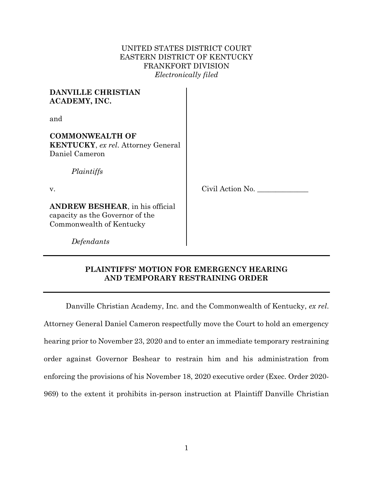## UNITED STATES DISTRICT COURT EASTERN DISTRICT OF KENTUCKY FRANKFORT DIVISION *Electronically filed*

| <b>DANVILLE CHRISTIAN</b><br>ACADEMY, INC.                                                             |                  |
|--------------------------------------------------------------------------------------------------------|------------------|
| and                                                                                                    |                  |
| <b>COMMONWEALTH OF</b><br><b>KENTUCKY</b> , ex rel. Attorney General<br>Daniel Cameron<br>Plaintiffs   |                  |
| V.                                                                                                     | Civil Action No. |
| <b>ANDREW BESHEAR</b> , in his official<br>capacity as the Governor of the<br>Commonwealth of Kentucky |                  |
| Defendants                                                                                             |                  |

# **PLAINTIFFS' MOTION FOR EMERGENCY HEARING AND TEMPORARY RESTRAINING ORDER**

Danville Christian Academy, Inc. and the Commonwealth of Kentucky, *ex rel*. Attorney General Daniel Cameron respectfully move the Court to hold an emergency hearing prior to November 23, 2020 and to enter an immediate temporary restraining order against Governor Beshear to restrain him and his administration from enforcing the provisions of his November 18, 2020 executive order (Exec. Order 2020- 969) to the extent it prohibits in-person instruction at Plaintiff Danville Christian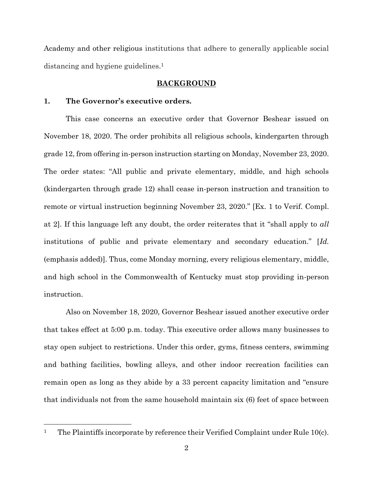Academy and other religious institutions that adhere to generally applicable social distancing and hygiene guidelines. 1

#### **BACKGROUND**

#### **1. The Governor's executive orders.**

 $\overline{a}$ 

This case concerns an executive order that Governor Beshear issued on November 18, 2020. The order prohibits all religious schools, kindergarten through grade 12, from offering in-person instruction starting on Monday, November 23, 2020. The order states: "All public and private elementary, middle, and high schools (kindergarten through grade 12) shall cease in-person instruction and transition to remote or virtual instruction beginning November 23, 2020." [Ex. 1 to Verif. Compl. at 2]. If this language left any doubt, the order reiterates that it "shall apply to *all* institutions of public and private elementary and secondary education." [*Id.* (emphasis added)]. Thus, come Monday morning, every religious elementary, middle, and high school in the Commonwealth of Kentucky must stop providing in-person instruction.

Also on November 18, 2020, Governor Beshear issued another executive order that takes effect at 5:00 p.m. today. This executive order allows many businesses to stay open subject to restrictions. Under this order, gyms, fitness centers, swimming and bathing facilities, bowling alleys, and other indoor recreation facilities can remain open as long as they abide by a 33 percent capacity limitation and "ensure that individuals not from the same household maintain six (6) feet of space between

<sup>&</sup>lt;sup>1</sup> The Plaintiffs incorporate by reference their Verified Complaint under Rule 10(c).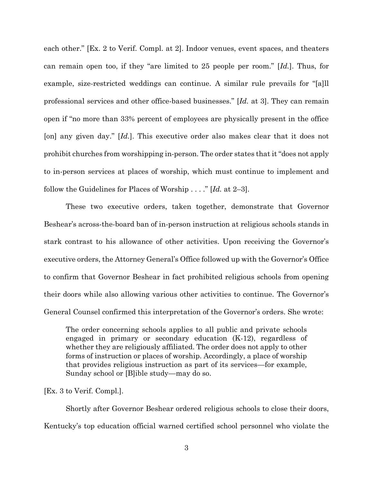each other." [Ex. 2 to Verif. Compl. at 2]. Indoor venues, event spaces, and theaters can remain open too, if they "are limited to 25 people per room." [*Id.*]. Thus, for example, size-restricted weddings can continue. A similar rule prevails for "[a]ll professional services and other office-based businesses." [*Id.* at 3]. They can remain open if "no more than 33% percent of employees are physically present in the office [on] any given day." [*Id.*]. This executive order also makes clear that it does not prohibit churches from worshipping in-person. The order states that it "does not apply to in-person services at places of worship, which must continue to implement and follow the Guidelines for Places of Worship . . . ." [*Id.* at 2–3].

These two executive orders, taken together, demonstrate that Governor Beshear's across-the-board ban of in-person instruction at religious schools stands in stark contrast to his allowance of other activities. Upon receiving the Governor's executive orders, the Attorney General's Office followed up with the Governor's Office to confirm that Governor Beshear in fact prohibited religious schools from opening their doors while also allowing various other activities to continue. The Governor's General Counsel confirmed this interpretation of the Governor's orders. She wrote:

The order concerning schools applies to all public and private schools engaged in primary or secondary education (K-12), regardless of whether they are religiously affiliated. The order does not apply to other forms of instruction or places of worship. Accordingly, a place of worship that provides religious instruction as part of its services—for example, Sunday school or [B]ible study—may do so.

[Ex. 3 to Verif. Compl.].

Shortly after Governor Beshear ordered religious schools to close their doors, Kentucky's top education official warned certified school personnel who violate the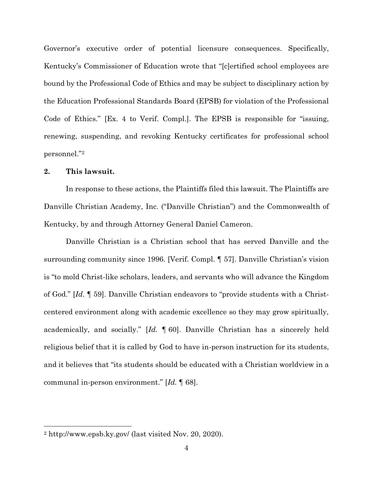Governor's executive order of potential licensure consequences. Specifically, Kentucky's Commissioner of Education wrote that "[c]ertified school employees are bound by the Professional Code of Ethics and may be subject to disciplinary action by the Education Professional Standards Board (EPSB) for violation of the Professional Code of Ethics." [Ex. 4 to Verif. Compl.]. The EPSB is responsible for "issuing, renewing, suspending, and revoking Kentucky certificates for professional school personnel."<sup>2</sup>

### **2. This lawsuit.**

 $\overline{a}$ 

In response to these actions, the Plaintiffs filed this lawsuit. The Plaintiffs are Danville Christian Academy, Inc. ("Danville Christian") and the Commonwealth of Kentucky, by and through Attorney General Daniel Cameron.

Danville Christian is a Christian school that has served Danville and the surrounding community since 1996. [Verif. Compl. ¶ 57]. Danville Christian's vision is "to mold Christ-like scholars, leaders, and servants who will advance the Kingdom of God." [*Id.* ¶ 59]. Danville Christian endeavors to "provide students with a Christcentered environment along with academic excellence so they may grow spiritually, academically, and socially." [*Id.* ¶ 60]. Danville Christian has a sincerely held religious belief that it is called by God to have in-person instruction for its students, and it believes that "its students should be educated with a Christian worldview in a communal in-person environment." [*Id.* ¶ 68].

<sup>2</sup> http://www.epsb.ky.gov/ (last visited Nov. 20, 2020).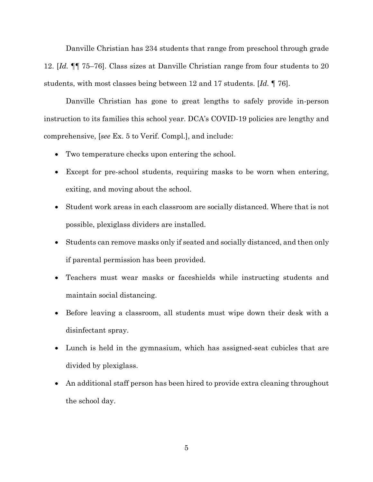Danville Christian has 234 students that range from preschool through grade 12. [*Id.* ¶¶ 75–76]. Class sizes at Danville Christian range from four students to 20 students, with most classes being between 12 and 17 students. [*Id.* ¶ 76].

Danville Christian has gone to great lengths to safely provide in-person instruction to its families this school year. DCA's COVID-19 policies are lengthy and comprehensive, [*see* Ex. 5 to Verif. Compl.], and include:

- Two temperature checks upon entering the school.
- Except for pre-school students, requiring masks to be worn when entering, exiting, and moving about the school.
- Student work areas in each classroom are socially distanced. Where that is not possible, plexiglass dividers are installed.
- Students can remove masks only if seated and socially distanced, and then only if parental permission has been provided.
- Teachers must wear masks or faceshields while instructing students and maintain social distancing.
- Before leaving a classroom, all students must wipe down their desk with a disinfectant spray.
- Lunch is held in the gymnasium, which has assigned-seat cubicles that are divided by plexiglass.
- An additional staff person has been hired to provide extra cleaning throughout the school day.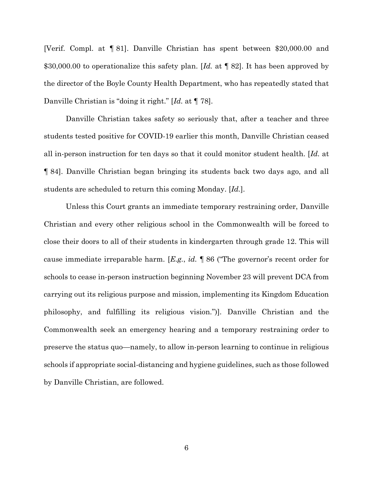[Verif. Compl. at ¶ 81]. Danville Christian has spent between \$20,000.00 and \$30,000.00 to operationalize this safety plan. [*Id.* at ¶ 82]. It has been approved by the director of the Boyle County Health Department, who has repeatedly stated that Danville Christian is "doing it right." [*Id.* at ¶ 78].

Danville Christian takes safety so seriously that, after a teacher and three students tested positive for COVID-19 earlier this month, Danville Christian ceased all in-person instruction for ten days so that it could monitor student health. [*Id.* at ¶ 84]. Danville Christian began bringing its students back two days ago, and all students are scheduled to return this coming Monday. [*Id.*].

Unless this Court grants an immediate temporary restraining order, Danville Christian and every other religious school in the Commonwealth will be forced to close their doors to all of their students in kindergarten through grade 12. This will cause immediate irreparable harm. [*E.g.*, *id.* ¶ 86 ("The governor's recent order for schools to cease in-person instruction beginning November 23 will prevent DCA from carrying out its religious purpose and mission, implementing its Kingdom Education philosophy, and fulfilling its religious vision.")]. Danville Christian and the Commonwealth seek an emergency hearing and a temporary restraining order to preserve the status quo—namely, to allow in-person learning to continue in religious schools if appropriate social-distancing and hygiene guidelines, such as those followed by Danville Christian, are followed.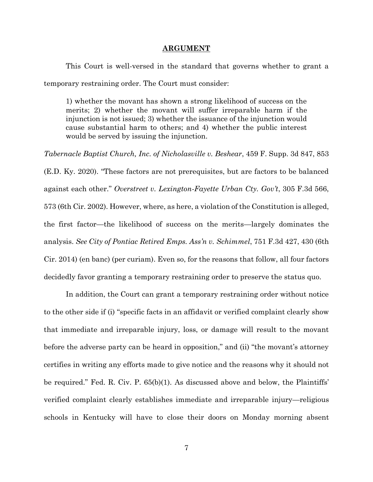#### **ARGUMENT**

This Court is well-versed in the standard that governs whether to grant a temporary restraining order. The Court must consider:

1) whether the movant has shown a strong likelihood of success on the merits; 2) whether the movant will suffer irreparable harm if the injunction is not issued; 3) whether the issuance of the injunction would cause substantial harm to others; and 4) whether the public interest would be served by issuing the injunction.

*Tabernacle Baptist Church, Inc. of Nicholasville v. Beshear*, 459 F. Supp. 3d 847, 853 (E.D. Ky. 2020). "These factors are not prerequisites, but are factors to be balanced against each other." *Overstreet v. Lexington-Fayette Urban Cty. Gov't*, 305 F.3d 566, 573 (6th Cir. 2002). However, where, as here, a violation of the Constitution is alleged, the first factor—the likelihood of success on the merits—largely dominates the analysis. *See City of Pontiac Retired Emps. Ass'n v. Schimmel*, 751 F.3d 427, 430 (6th Cir. 2014) (en banc) (per curiam). Even so, for the reasons that follow, all four factors decidedly favor granting a temporary restraining order to preserve the status quo.

In addition, the Court can grant a temporary restraining order without notice to the other side if (i) "specific facts in an affidavit or verified complaint clearly show that immediate and irreparable injury, loss, or damage will result to the movant before the adverse party can be heard in opposition," and (ii) "the movant's attorney certifies in writing any efforts made to give notice and the reasons why it should not be required." Fed. R. Civ. P. 65(b)(1). As discussed above and below, the Plaintiffs' verified complaint clearly establishes immediate and irreparable injury—religious schools in Kentucky will have to close their doors on Monday morning absent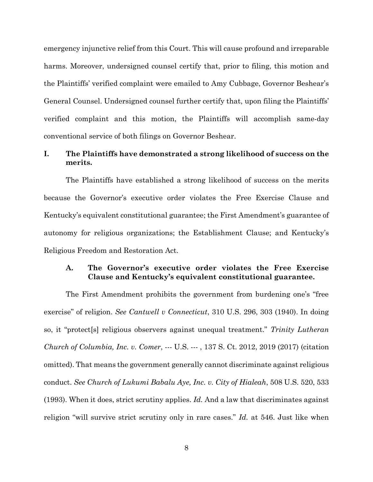emergency injunctive relief from this Court. This will cause profound and irreparable harms. Moreover, undersigned counsel certify that, prior to filing, this motion and the Plaintiffs' verified complaint were emailed to Amy Cubbage, Governor Beshear's General Counsel. Undersigned counsel further certify that, upon filing the Plaintiffs' verified complaint and this motion, the Plaintiffs will accomplish same-day conventional service of both filings on Governor Beshear.

# **I. The Plaintiffs have demonstrated a strong likelihood of success on the merits.**

The Plaintiffs have established a strong likelihood of success on the merits because the Governor's executive order violates the Free Exercise Clause and Kentucky's equivalent constitutional guarantee; the First Amendment's guarantee of autonomy for religious organizations; the Establishment Clause; and Kentucky's Religious Freedom and Restoration Act.

### **A. The Governor's executive order violates the Free Exercise Clause and Kentucky's equivalent constitutional guarantee.**

The First Amendment prohibits the government from burdening one's "free exercise" of religion. *See Cantwell v Connecticut*, 310 U.S. 296, 303 (1940). In doing so, it "protect[s] religious observers against unequal treatment." *Trinity Lutheran Church of Columbia, Inc. v. Comer*, --- U.S. --- , 137 S. Ct. 2012, 2019 (2017) (citation omitted). That means the government generally cannot discriminate against religious conduct. *See Church of Lukumi Babalu Aye, Inc. v. City of Hialeah*, 508 U.S. 520, 533 (1993). When it does, strict scrutiny applies. *Id.* And a law that discriminates against religion "will survive strict scrutiny only in rare cases." *Id.* at 546. Just like when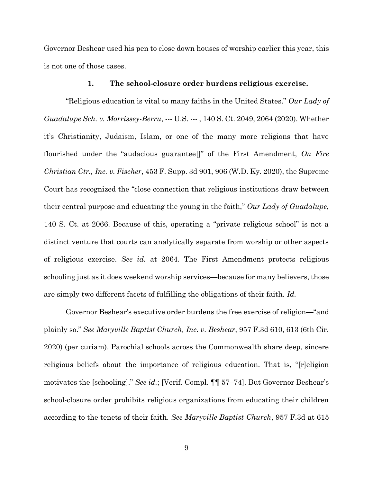Governor Beshear used his pen to close down houses of worship earlier this year, this is not one of those cases.

#### **1. The school-closure order burdens religious exercise.**

"Religious education is vital to many faiths in the United States." *Our Lady of Guadalupe Sch. v. Morrissey-Berru*, --- U.S. --- , 140 S. Ct. 2049, 2064 (2020). Whether it's Christianity, Judaism, Islam, or one of the many more religions that have flourished under the "audacious guarantee[]" of the First Amendment, *On Fire Christian Ctr., Inc. v. Fischer*, 453 F. Supp. 3d 901, 906 (W.D. Ky. 2020), the Supreme Court has recognized the "close connection that religious institutions draw between their central purpose and educating the young in the faith," *Our Lady of Guadalupe*, 140 S. Ct. at 2066. Because of this, operating a "private religious school" is not a distinct venture that courts can analytically separate from worship or other aspects of religious exercise. *See id.* at 2064. The First Amendment protects religious schooling just as it does weekend worship services—because for many believers, those are simply two different facets of fulfilling the obligations of their faith. *Id.*

Governor Beshear's executive order burdens the free exercise of religion—"and plainly so." *See Maryville Baptist Church, Inc. v. Beshear*, 957 F.3d 610, 613 (6th Cir. 2020) (per curiam). Parochial schools across the Commonwealth share deep, sincere religious beliefs about the importance of religious education. That is, "[r]eligion motivates the [schooling]." *See id.*; [Verif. Compl. ¶¶ 57–74]. But Governor Beshear's school-closure order prohibits religious organizations from educating their children according to the tenets of their faith. *See Maryville Baptist Church*, 957 F.3d at 615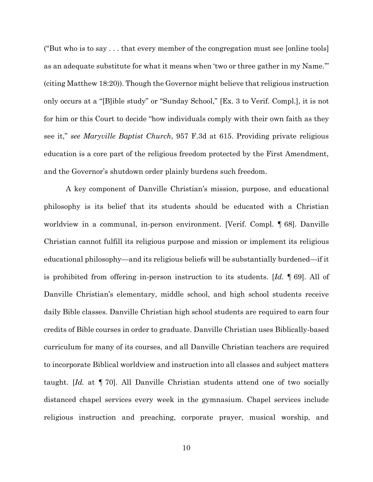("But who is to say . . . that every member of the congregation must see [online tools] as an adequate substitute for what it means when 'two or three gather in my Name.'" (citing Matthew 18:20)). Though the Governor might believe that religious instruction only occurs at a "[B]ible study" or "Sunday School," [Ex. 3 to Verif. Compl.], it is not for him or this Court to decide "how individuals comply with their own faith as they see it," *see Maryville Baptist Church*, 957 F.3d at 615. Providing private religious education is a core part of the religious freedom protected by the First Amendment, and the Governor's shutdown order plainly burdens such freedom.

A key component of Danville Christian's mission, purpose, and educational philosophy is its belief that its students should be educated with a Christian worldview in a communal, in-person environment. [Verif. Compl. ¶ 68]. Danville Christian cannot fulfill its religious purpose and mission or implement its religious educational philosophy—and its religious beliefs will be substantially burdened—if it is prohibited from offering in-person instruction to its students. [*Id.* ¶ 69]. All of Danville Christian's elementary, middle school, and high school students receive daily Bible classes. Danville Christian high school students are required to earn four credits of Bible courses in order to graduate. Danville Christian uses Biblically-based curriculum for many of its courses, and all Danville Christian teachers are required to incorporate Biblical worldview and instruction into all classes and subject matters taught. [*Id.* at ¶ 70]. All Danville Christian students attend one of two socially distanced chapel services every week in the gymnasium. Chapel services include religious instruction and preaching, corporate prayer, musical worship, and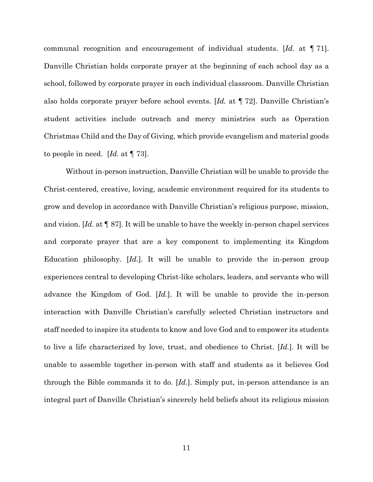communal recognition and encouragement of individual students. [*Id.* at ¶ 71]. Danville Christian holds corporate prayer at the beginning of each school day as a school, followed by corporate prayer in each individual classroom. Danville Christian also holds corporate prayer before school events. [*Id.* at ¶ 72]. Danville Christian's student activities include outreach and mercy ministries such as Operation Christmas Child and the Day of Giving, which provide evangelism and material goods to people in need. [*Id.* at ¶ 73].

Without in-person instruction, Danville Christian will be unable to provide the Christ-centered, creative, loving, academic environment required for its students to grow and develop in accordance with Danville Christian's religious purpose, mission, and vision. [*Id.* at ¶ 87]. It will be unable to have the weekly in-person chapel services and corporate prayer that are a key component to implementing its Kingdom Education philosophy. [*Id.*]. It will be unable to provide the in-person group experiences central to developing Christ-like scholars, leaders, and servants who will advance the Kingdom of God. [*Id.*]. It will be unable to provide the in-person interaction with Danville Christian's carefully selected Christian instructors and staff needed to inspire its students to know and love God and to empower its students to live a life characterized by love, trust, and obedience to Christ. [*Id.*]. It will be unable to assemble together in-person with staff and students as it believes God through the Bible commands it to do. [*Id.*]. Simply put, in-person attendance is an integral part of Danville Christian's sincerely held beliefs about its religious mission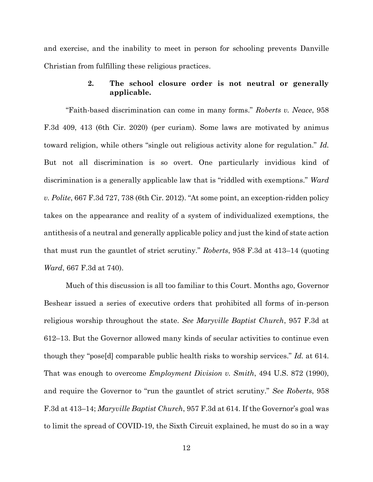and exercise, and the inability to meet in person for schooling prevents Danville Christian from fulfilling these religious practices.

### **2. The school closure order is not neutral or generally applicable.**

"Faith-based discrimination can come in many forms." *Roberts v. Neace*, 958 F.3d 409, 413 (6th Cir. 2020) (per curiam). Some laws are motivated by animus toward religion, while others "single out religious activity alone for regulation." *Id.* But not all discrimination is so overt. One particularly invidious kind of discrimination is a generally applicable law that is "riddled with exemptions." *Ward v. Polite*, 667 F.3d 727, 738 (6th Cir. 2012). "At some point, an exception-ridden policy takes on the appearance and reality of a system of individualized exemptions, the antithesis of a neutral and generally applicable policy and just the kind of state action that must run the gauntlet of strict scrutiny." *Roberts*, 958 F.3d at 413–14 (quoting *Ward*, 667 F.3d at 740).

Much of this discussion is all too familiar to this Court. Months ago, Governor Beshear issued a series of executive orders that prohibited all forms of in-person religious worship throughout the state. *See Maryville Baptist Church*, 957 F.3d at 612–13. But the Governor allowed many kinds of secular activities to continue even though they "pose[d] comparable public health risks to worship services." *Id.* at 614. That was enough to overcome *Employment Division v. Smith*, 494 U.S. 872 (1990), and require the Governor to "run the gauntlet of strict scrutiny." *See Roberts*, 958 F.3d at 413–14; *Maryville Baptist Church*, 957 F.3d at 614. If the Governor's goal was to limit the spread of COVID-19, the Sixth Circuit explained, he must do so in a way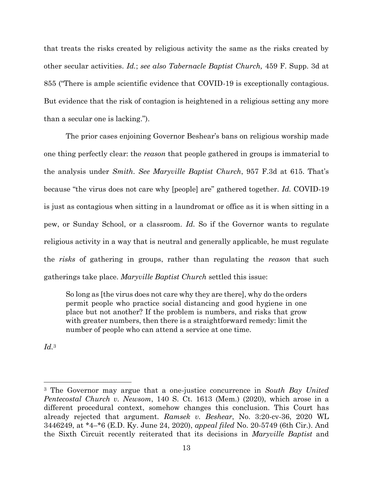that treats the risks created by religious activity the same as the risks created by other secular activities. *Id.*; *see also Tabernacle Baptist Church,* 459 F. Supp. 3d at 855 ("There is ample scientific evidence that COVID-19 is exceptionally contagious. But evidence that the risk of contagion is heightened in a religious setting any more than a secular one is lacking.").

The prior cases enjoining Governor Beshear's bans on religious worship made one thing perfectly clear: the *reason* that people gathered in groups is immaterial to the analysis under *Smith*. *See Maryville Baptist Church*, 957 F.3d at 615. That's because "the virus does not care why [people] are" gathered together. *Id.* COVID-19 is just as contagious when sitting in a laundromat or office as it is when sitting in a pew, or Sunday School, or a classroom. *Id.* So if the Governor wants to regulate religious activity in a way that is neutral and generally applicable, he must regulate the *risks* of gathering in groups, rather than regulating the *reason* that such gatherings take place. *Maryville Baptist Church* settled this issue:

So long as [the virus does not care why they are there], why do the orders permit people who practice social distancing and good hygiene in one place but not another? If the problem is numbers, and risks that grow with greater numbers, then there is a straightforward remedy: limit the number of people who can attend a service at one time.

*Id.*<sup>3</sup>

 $\overline{\phantom{a}}$ 

<sup>3</sup> The Governor may argue that a one-justice concurrence in *South Bay United Pentecostal Church v. Newsom*, 140 S. Ct. 1613 (Mem.) (2020), which arose in a different procedural context, somehow changes this conclusion. This Court has already rejected that argument. *Ramsek v. Beshear*, No. 3:20-cv-36, 2020 WL 3446249, at \*4–\*6 (E.D. Ky. June 24, 2020), *appeal filed* No. 20-5749 (6th Cir.). And the Sixth Circuit recently reiterated that its decisions in *Maryville Baptist* and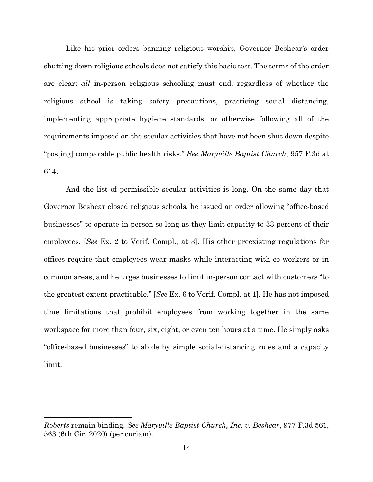Like his prior orders banning religious worship, Governor Beshear's order shutting down religious schools does not satisfy this basic test. The terms of the order are clear: *all* in-person religious schooling must end, regardless of whether the religious school is taking safety precautions, practicing social distancing, implementing appropriate hygiene standards, or otherwise following all of the requirements imposed on the secular activities that have not been shut down despite "pos[ing] comparable public health risks." *See Maryville Baptist Church*, 957 F.3d at 614.

And the list of permissible secular activities is long. On the same day that Governor Beshear closed religious schools, he issued an order allowing "office-based businesses" to operate in person so long as they limit capacity to 33 percent of their employees. [*See* Ex. 2 to Verif. Compl., at 3]. His other preexisting regulations for offices require that employees wear masks while interacting with co-workers or in common areas, and he urges businesses to limit in-person contact with customers "to the greatest extent practicable." [*See* Ex. 6 to Verif. Compl. at 1]. He has not imposed time limitations that prohibit employees from working together in the same workspace for more than four, six, eight, or even ten hours at a time. He simply asks "office-based businesses" to abide by simple social-distancing rules and a capacity limit.

 $\overline{\phantom{a}}$ 

*Roberts* remain binding. *See Maryville Baptist Church, Inc. v. Beshear*, 977 F.3d 561, 563 (6th Cir. 2020) (per curiam).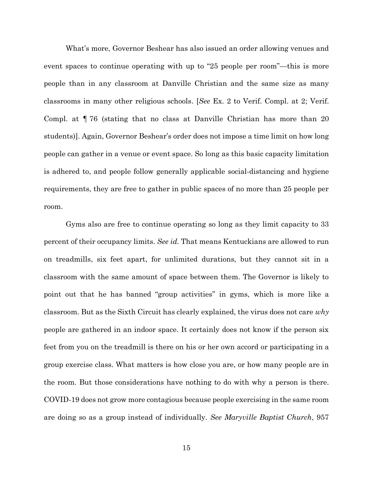What's more, Governor Beshear has also issued an order allowing venues and event spaces to continue operating with up to "25 people per room"—this is more people than in any classroom at Danville Christian and the same size as many classrooms in many other religious schools. [*See* Ex. 2 to Verif. Compl. at 2; Verif. Compl. at ¶ 76 (stating that no class at Danville Christian has more than 20 students)]. Again, Governor Beshear's order does not impose a time limit on how long people can gather in a venue or event space. So long as this basic capacity limitation is adhered to, and people follow generally applicable social-distancing and hygiene requirements, they are free to gather in public spaces of no more than 25 people per room.

Gyms also are free to continue operating so long as they limit capacity to 33 percent of their occupancy limits. *See id.* That means Kentuckians are allowed to run on treadmills, six feet apart, for unlimited durations, but they cannot sit in a classroom with the same amount of space between them. The Governor is likely to point out that he has banned "group activities" in gyms, which is more like a classroom. But as the Sixth Circuit has clearly explained, the virus does not care *why* people are gathered in an indoor space. It certainly does not know if the person six feet from you on the treadmill is there on his or her own accord or participating in a group exercise class. What matters is how close you are, or how many people are in the room. But those considerations have nothing to do with why a person is there. COVID-19 does not grow more contagious because people exercising in the same room are doing so as a group instead of individually. *See Maryville Baptist Church*, 957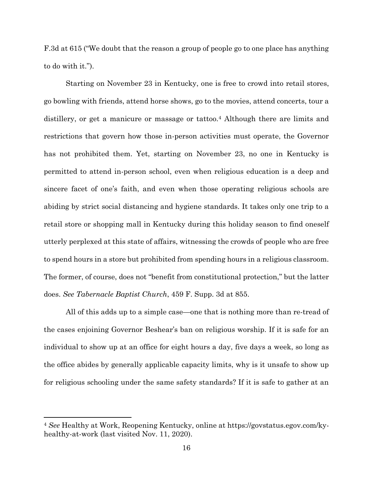F.3d at 615 ("We doubt that the reason a group of people go to one place has anything to do with it.").

Starting on November 23 in Kentucky, one is free to crowd into retail stores, go bowling with friends, attend horse shows, go to the movies, attend concerts, tour a distillery, or get a manicure or massage or tattoo.<sup>4</sup> Although there are limits and restrictions that govern how those in-person activities must operate, the Governor has not prohibited them. Yet, starting on November 23, no one in Kentucky is permitted to attend in-person school, even when religious education is a deep and sincere facet of one's faith, and even when those operating religious schools are abiding by strict social distancing and hygiene standards. It takes only one trip to a retail store or shopping mall in Kentucky during this holiday season to find oneself utterly perplexed at this state of affairs, witnessing the crowds of people who are free to spend hours in a store but prohibited from spending hours in a religious classroom. The former, of course, does not "benefit from constitutional protection," but the latter does. *See Tabernacle Baptist Church*, 459 F. Supp. 3d at 855.

All of this adds up to a simple case—one that is nothing more than re-tread of the cases enjoining Governor Beshear's ban on religious worship. If it is safe for an individual to show up at an office for eight hours a day, five days a week, so long as the office abides by generally applicable capacity limits, why is it unsafe to show up for religious schooling under the same safety standards? If it is safe to gather at an

 $\overline{\phantom{a}}$ 

<sup>4</sup> *See* Healthy at Work, Reopening Kentucky, online at https://govstatus.egov.com/kyhealthy-at-work (last visited Nov. 11, 2020).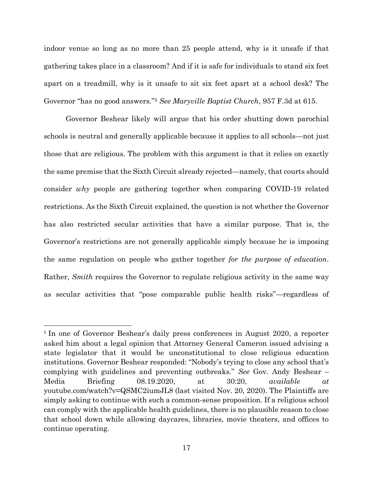indoor venue so long as no more than 25 people attend, why is it unsafe if that gathering takes place in a classroom? And if it is safe for individuals to stand six feet apart on a treadmill, why is it unsafe to sit six feet apart at a school desk? The Governor "has no good answers."<sup>5</sup> *See Maryville Baptist Church*, 957 F.3d at 615.

Governor Beshear likely will argue that his order shutting down parochial schools is neutral and generally applicable because it applies to all schools—not just those that are religious. The problem with this argument is that it relies on exactly the same premise that the Sixth Circuit already rejected—namely, that courts should consider *why* people are gathering together when comparing COVID-19 related restrictions. As the Sixth Circuit explained, the question is not whether the Governor has also restricted secular activities that have a similar purpose. That is, the Governor's restrictions are not generally applicable simply because he is imposing the same regulation on people who gather together *for the purpose of education*. Rather, *Smith* requires the Governor to regulate religious activity in the same way as secular activities that "pose comparable public health risks"—regardless of

 $\overline{\phantom{a}}$ 

<sup>&</sup>lt;sup>5</sup> In one of Governor Beshear's daily press conferences in August 2020, a reporter asked him about a legal opinion that Attorney General Cameron issued advising a state legislator that it would be unconstitutional to close religious education institutions. Governor Beshear responded: "Nobody's trying to close any school that's complying with guidelines and preventing outbreaks." *See* Gov. Andy Beshear – Media Briefing 08.19.2020, at 30:20, *available at* youtube.com/watch?v=QSMC2iumJL8 (last visited Nov. 20, 2020). The Plaintiffs are simply asking to continue with such a common-sense proposition. If a religious school can comply with the applicable health guidelines, there is no plausible reason to close that school down while allowing daycares, libraries, movie theaters, and offices to continue operating.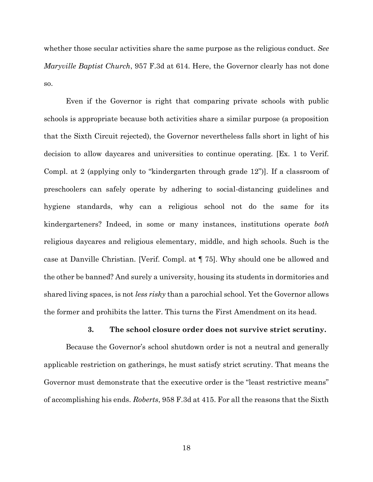whether those secular activities share the same purpose as the religious conduct. *See Maryville Baptist Church*, 957 F.3d at 614. Here, the Governor clearly has not done so.

Even if the Governor is right that comparing private schools with public schools is appropriate because both activities share a similar purpose (a proposition that the Sixth Circuit rejected), the Governor nevertheless falls short in light of his decision to allow daycares and universities to continue operating. [Ex. 1 to Verif. Compl. at 2 (applying only to "kindergarten through grade 12")]. If a classroom of preschoolers can safely operate by adhering to social-distancing guidelines and hygiene standards, why can a religious school not do the same for its kindergarteners? Indeed, in some or many instances, institutions operate *both* religious daycares and religious elementary, middle, and high schools. Such is the case at Danville Christian. [Verif. Compl. at ¶ 75]. Why should one be allowed and the other be banned? And surely a university, housing its students in dormitories and shared living spaces, is not *less risky* than a parochial school. Yet the Governor allows the former and prohibits the latter. This turns the First Amendment on its head.

### **3. The school closure order does not survive strict scrutiny.**

Because the Governor's school shutdown order is not a neutral and generally applicable restriction on gatherings, he must satisfy strict scrutiny. That means the Governor must demonstrate that the executive order is the "least restrictive means" of accomplishing his ends. *Roberts*, 958 F.3d at 415. For all the reasons that the Sixth

18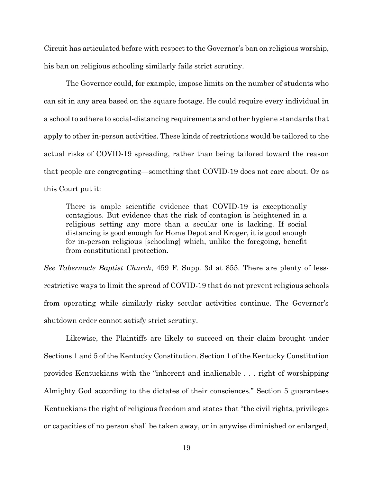Circuit has articulated before with respect to the Governor's ban on religious worship, his ban on religious schooling similarly fails strict scrutiny.

The Governor could, for example, impose limits on the number of students who can sit in any area based on the square footage. He could require every individual in a school to adhere to social-distancing requirements and other hygiene standards that apply to other in-person activities. These kinds of restrictions would be tailored to the actual risks of COVID-19 spreading, rather than being tailored toward the reason that people are congregating—something that COVID-19 does not care about. Or as this Court put it:

There is ample scientific evidence that COVID-19 is exceptionally contagious. But evidence that the risk of contagion is heightened in a religious setting any more than a secular one is lacking. If social distancing is good enough for Home Depot and Kroger, it is good enough for in-person religious [schooling] which, unlike the foregoing, benefit from constitutional protection.

*See Tabernacle Baptist Church*, 459 F. Supp. 3d at 855. There are plenty of lessrestrictive ways to limit the spread of COVID-19 that do not prevent religious schools from operating while similarly risky secular activities continue. The Governor's shutdown order cannot satisfy strict scrutiny.

Likewise, the Plaintiffs are likely to succeed on their claim brought under Sections 1 and 5 of the Kentucky Constitution. Section 1 of the Kentucky Constitution provides Kentuckians with the "inherent and inalienable . . . right of worshipping Almighty God according to the dictates of their consciences." Section 5 guarantees Kentuckians the right of religious freedom and states that "the civil rights, privileges or capacities of no person shall be taken away, or in anywise diminished or enlarged,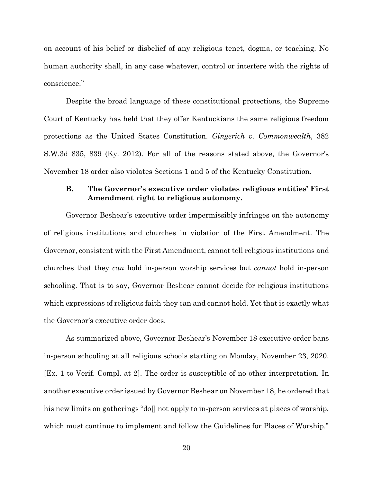on account of his belief or disbelief of any religious tenet, dogma, or teaching. No human authority shall, in any case whatever, control or interfere with the rights of conscience."

Despite the broad language of these constitutional protections, the Supreme Court of Kentucky has held that they offer Kentuckians the same religious freedom protections as the United States Constitution. *Gingerich v. Commonwealth*, 382 S.W.3d 835, 839 (Ky. 2012). For all of the reasons stated above, the Governor's November 18 order also violates Sections 1 and 5 of the Kentucky Constitution.

### **B. The Governor's executive order violates religious entities' First Amendment right to religious autonomy.**

Governor Beshear's executive order impermissibly infringes on the autonomy of religious institutions and churches in violation of the First Amendment. The Governor, consistent with the First Amendment, cannot tell religious institutions and churches that they *can* hold in-person worship services but *cannot* hold in-person schooling. That is to say, Governor Beshear cannot decide for religious institutions which expressions of religious faith they can and cannot hold. Yet that is exactly what the Governor's executive order does.

As summarized above, Governor Beshear's November 18 executive order bans in-person schooling at all religious schools starting on Monday, November 23, 2020. [Ex. 1 to Verif. Compl. at 2]. The order is susceptible of no other interpretation. In another executive order issued by Governor Beshear on November 18, he ordered that his new limits on gatherings "do[] not apply to in-person services at places of worship, which must continue to implement and follow the Guidelines for Places of Worship."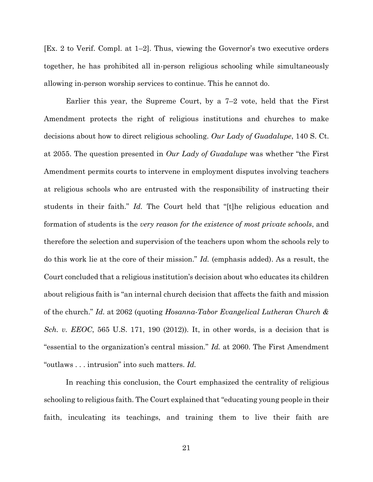[Ex. 2 to Verif. Compl. at 1–2]. Thus, viewing the Governor's two executive orders together, he has prohibited all in-person religious schooling while simultaneously allowing in-person worship services to continue. This he cannot do.

Earlier this year, the Supreme Court, by a 7–2 vote, held that the First Amendment protects the right of religious institutions and churches to make decisions about how to direct religious schooling. *Our Lady of Guadalupe*, 140 S. Ct. at 2055. The question presented in *Our Lady of Guadalupe* was whether "the First Amendment permits courts to intervene in employment disputes involving teachers at religious schools who are entrusted with the responsibility of instructing their students in their faith." *Id.* The Court held that "[t]he religious education and formation of students is the *very reason for the existence of most private schools*, and therefore the selection and supervision of the teachers upon whom the schools rely to do this work lie at the core of their mission." *Id.* (emphasis added). As a result, the Court concluded that a religious institution's decision about who educates its children about religious faith is "an internal church decision that affects the faith and mission of the church." *Id.* at 2062 (quoting *Hosanna-Tabor Evangelical Lutheran Church & Sch. v. EEOC*, 565 U.S. 171, 190 (2012)). It, in other words, is a decision that is "essential to the organization's central mission." *Id.* at 2060. The First Amendment "outlaws . . . intrusion" into such matters. *Id.*

In reaching this conclusion, the Court emphasized the centrality of religious schooling to religious faith. The Court explained that "educating young people in their faith, inculcating its teachings, and training them to live their faith are

21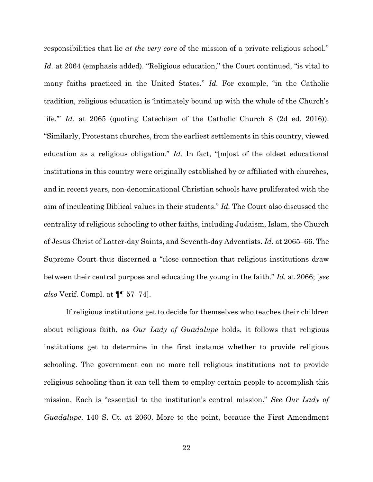responsibilities that lie *at the very core* of the mission of a private religious school." *Id.* at 2064 (emphasis added). "Religious education," the Court continued, "is vital to many faiths practiced in the United States." *Id.* For example, "in the Catholic tradition, religious education is 'intimately bound up with the whole of the Church's life."" *Id.* at 2065 (quoting Catechism of the Catholic Church 8 (2d ed. 2016)). "Similarly, Protestant churches, from the earliest settlements in this country, viewed education as a religious obligation." *Id.* In fact, "[m]ost of the oldest educational institutions in this country were originally established by or affiliated with churches, and in recent years, non-denominational Christian schools have proliferated with the aim of inculcating Biblical values in their students." *Id.* The Court also discussed the centrality of religious schooling to other faiths, including Judaism, Islam, the Church of Jesus Christ of Latter-day Saints, and Seventh-day Adventists. *Id.* at 2065–66. The Supreme Court thus discerned a "close connection that religious institutions draw between their central purpose and educating the young in the faith." *Id.* at 2066; [*see also* Verif. Compl. at ¶¶ 57–74].

If religious institutions get to decide for themselves who teaches their children about religious faith, as *Our Lady of Guadalupe* holds, it follows that religious institutions get to determine in the first instance whether to provide religious schooling. The government can no more tell religious institutions not to provide religious schooling than it can tell them to employ certain people to accomplish this mission. Each is "essential to the institution's central mission." *See Our Lady of Guadalupe*, 140 S. Ct. at 2060. More to the point, because the First Amendment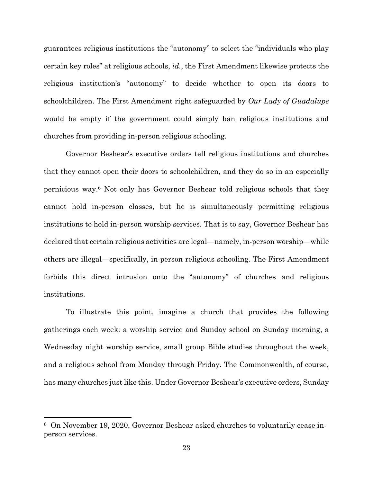guarantees religious institutions the "autonomy" to select the "individuals who play certain key roles" at religious schools, *id.*, the First Amendment likewise protects the religious institution's "autonomy" to decide whether to open its doors to schoolchildren. The First Amendment right safeguarded by *Our Lady of Guadalupe*  would be empty if the government could simply ban religious institutions and churches from providing in-person religious schooling.

Governor Beshear's executive orders tell religious institutions and churches that they cannot open their doors to schoolchildren, and they do so in an especially pernicious way.<sup>6</sup> Not only has Governor Beshear told religious schools that they cannot hold in-person classes, but he is simultaneously permitting religious institutions to hold in-person worship services. That is to say, Governor Beshear has declared that certain religious activities are legal—namely, in-person worship—while others are illegal—specifically, in-person religious schooling. The First Amendment forbids this direct intrusion onto the "autonomy" of churches and religious institutions.

To illustrate this point, imagine a church that provides the following gatherings each week: a worship service and Sunday school on Sunday morning, a Wednesday night worship service, small group Bible studies throughout the week, and a religious school from Monday through Friday. The Commonwealth, of course, has many churches just like this. Under Governor Beshear's executive orders, Sunday

 $\overline{\phantom{a}}$ 

<sup>6</sup> On November 19, 2020, Governor Beshear asked churches to voluntarily cease inperson services.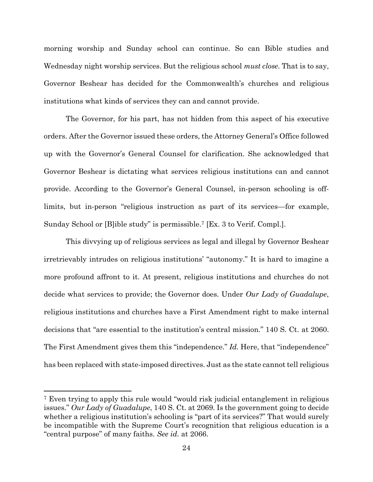morning worship and Sunday school can continue. So can Bible studies and Wednesday night worship services. But the religious school *must close*. That is to say, Governor Beshear has decided for the Commonwealth's churches and religious institutions what kinds of services they can and cannot provide.

The Governor, for his part, has not hidden from this aspect of his executive orders. After the Governor issued these orders, the Attorney General's Office followed up with the Governor's General Counsel for clarification. She acknowledged that Governor Beshear is dictating what services religious institutions can and cannot provide. According to the Governor's General Counsel, in-person schooling is offlimits, but in-person "religious instruction as part of its services—for example, Sunday School or [B]ible study" is permissible.<sup>7</sup> [Ex. 3 to Verif. Compl.].

This divvying up of religious services as legal and illegal by Governor Beshear irretrievably intrudes on religious institutions' "autonomy." It is hard to imagine a more profound affront to it. At present, religious institutions and churches do not decide what services to provide; the Governor does. Under *Our Lady of Guadalupe*, religious institutions and churches have a First Amendment right to make internal decisions that "are essential to the institution's central mission." 140 S. Ct. at 2060. The First Amendment gives them this "independence." *Id.* Here, that "independence" has been replaced with state-imposed directives. Just as the state cannot tell religious

l

<sup>7</sup> Even trying to apply this rule would "would risk judicial entanglement in religious issues." *Our Lady of Guadalupe*, 140 S. Ct. at 2069. Is the government going to decide whether a religious institution's schooling is "part of its services?" That would surely be incompatible with the Supreme Court's recognition that religious education is a "central purpose" of many faiths. *See id.* at 2066.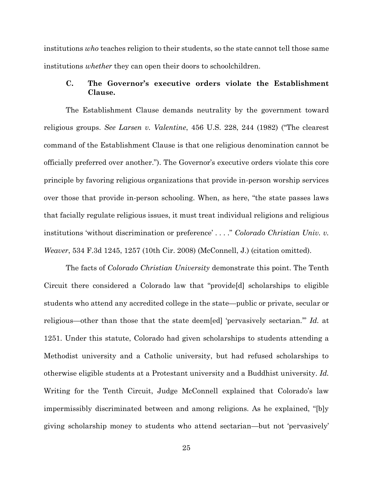institutions *who* teaches religion to their students, so the state cannot tell those same institutions *whether* they can open their doors to schoolchildren.

## **C. The Governor's executive orders violate the Establishment Clause.**

The Establishment Clause demands neutrality by the government toward religious groups. *See Larsen v. Valentine*, 456 U.S. 228, 244 (1982) ("The clearest command of the Establishment Clause is that one religious denomination cannot be officially preferred over another."). The Governor's executive orders violate this core principle by favoring religious organizations that provide in-person worship services over those that provide in-person schooling. When, as here, "the state passes laws that facially regulate religious issues, it must treat individual religions and religious institutions 'without discrimination or preference' . . . ." *Colorado Christian Univ. v. Weaver*, 534 F.3d 1245, 1257 (10th Cir. 2008) (McConnell, J.) (citation omitted).

The facts of *Colorado Christian University* demonstrate this point. The Tenth Circuit there considered a Colorado law that "provide[d] scholarships to eligible students who attend any accredited college in the state—public or private, secular or religious—other than those that the state deem[ed] 'pervasively sectarian.'" *Id.* at 1251. Under this statute, Colorado had given scholarships to students attending a Methodist university and a Catholic university, but had refused scholarships to otherwise eligible students at a Protestant university and a Buddhist university. *Id.*  Writing for the Tenth Circuit, Judge McConnell explained that Colorado's law impermissibly discriminated between and among religions. As he explained, "[b]y giving scholarship money to students who attend sectarian—but not 'pervasively'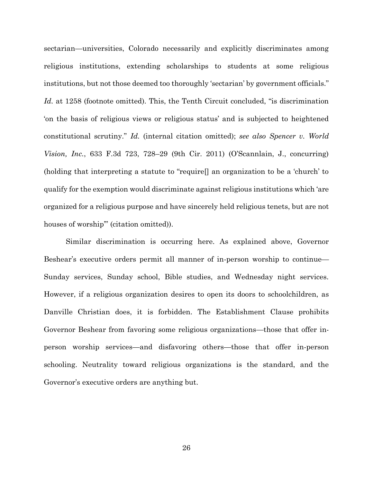sectarian—universities, Colorado necessarily and explicitly discriminates among religious institutions, extending scholarships to students at some religious institutions, but not those deemed too thoroughly 'sectarian' by government officials." *Id.* at 1258 (footnote omitted). This, the Tenth Circuit concluded, "is discrimination 'on the basis of religious views or religious status' and is subjected to heightened constitutional scrutiny." *Id.* (internal citation omitted); *see also Spencer v. World Vision, Inc.*, 633 F.3d 723, 728–29 (9th Cir. 2011) (O'Scannlain, J., concurring) (holding that interpreting a statute to "require[] an organization to be a 'church' to qualify for the exemption would discriminate against religious institutions which 'are organized for a religious purpose and have sincerely held religious tenets, but are not houses of worship"" (citation omitted)).

Similar discrimination is occurring here. As explained above, Governor Beshear's executive orders permit all manner of in-person worship to continue— Sunday services, Sunday school, Bible studies, and Wednesday night services. However, if a religious organization desires to open its doors to schoolchildren, as Danville Christian does, it is forbidden. The Establishment Clause prohibits Governor Beshear from favoring some religious organizations—those that offer inperson worship services—and disfavoring others—those that offer in-person schooling. Neutrality toward religious organizations is the standard, and the Governor's executive orders are anything but.

26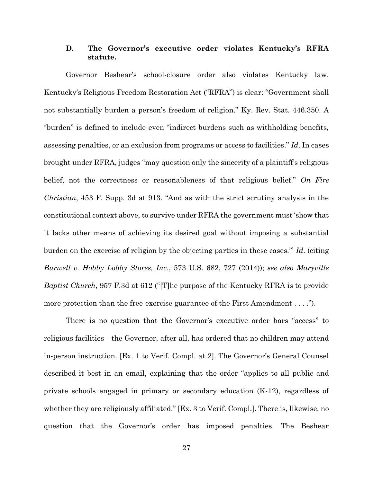### **D. The Governor's executive order violates Kentucky's RFRA statute.**

Governor Beshear's school-closure order also violates Kentucky law. Kentucky's Religious Freedom Restoration Act ("RFRA") is clear: "Government shall not substantially burden a person's freedom of religion." Ky. Rev. Stat. 446.350. A "burden" is defined to include even "indirect burdens such as withholding benefits, assessing penalties, or an exclusion from programs or access to facilities." *Id*. In cases brought under RFRA, judges "may question only the sincerity of a plaintiff's religious belief, not the correctness or reasonableness of that religious belief." *On Fire Christian*, 453 F. Supp. 3d at 913. "And as with the strict scrutiny analysis in the constitutional context above, to survive under RFRA the government must 'show that it lacks other means of achieving its desired goal without imposing a substantial burden on the exercise of religion by the objecting parties in these cases.'" *Id*. (citing *Burwell v. Hobby Lobby Stores, Inc*., 573 U.S. 682, 727 (2014)); *see also Maryville Baptist Church*, 957 F.3d at 612 ("[T]he purpose of the Kentucky RFRA is to provide more protection than the free-exercise guarantee of the First Amendment . . . .").

There is no question that the Governor's executive order bars "access" to religious facilities—the Governor, after all, has ordered that no children may attend in-person instruction. [Ex. 1 to Verif. Compl. at 2]. The Governor's General Counsel described it best in an email, explaining that the order "applies to all public and private schools engaged in primary or secondary education (K-12), regardless of whether they are religiously affiliated." [Ex. 3 to Verif. Compl.]. There is, likewise, no question that the Governor's order has imposed penalties. The Beshear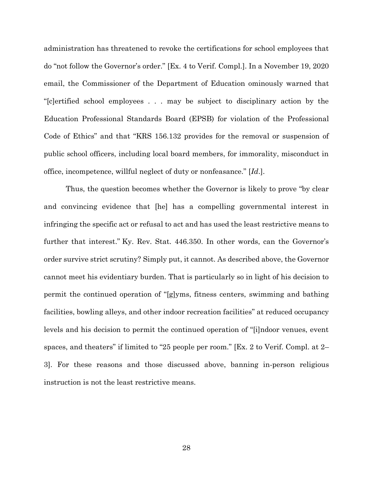administration has threatened to revoke the certifications for school employees that do "not follow the Governor's order." [Ex. 4 to Verif. Compl.]. In a November 19, 2020 email, the Commissioner of the Department of Education ominously warned that "[c]ertified school employees . . . may be subject to disciplinary action by the Education Professional Standards Board (EPSB) for violation of the Professional Code of Ethics" and that "KRS 156.132 provides for the removal or suspension of public school officers, including local board members, for immorality, misconduct in office, incompetence, willful neglect of duty or nonfeasance." [*Id*.].

Thus, the question becomes whether the Governor is likely to prove "by clear and convincing evidence that [he] has a compelling governmental interest in infringing the specific act or refusal to act and has used the least restrictive means to further that interest." Ky. Rev. Stat. 446.350. In other words, can the Governor's order survive strict scrutiny? Simply put, it cannot. As described above, the Governor cannot meet his evidentiary burden. That is particularly so in light of his decision to permit the continued operation of "[g]yms, fitness centers, swimming and bathing facilities, bowling alleys, and other indoor recreation facilities" at reduced occupancy levels and his decision to permit the continued operation of "[i]ndoor venues, event spaces, and theaters" if limited to "25 people per room." [Ex. 2 to Verif. Compl. at 2– 3]. For these reasons and those discussed above, banning in-person religious instruction is not the least restrictive means.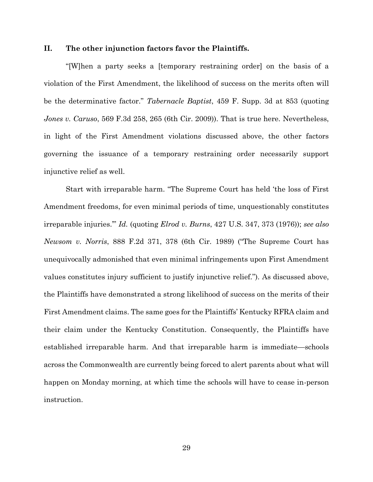### **II. The other injunction factors favor the Plaintiffs.**

"[W]hen a party seeks a [temporary restraining order] on the basis of a violation of the First Amendment, the likelihood of success on the merits often will be the determinative factor." *Tabernacle Baptist*, 459 F. Supp. 3d at 853 (quoting *Jones v. Caruso*, 569 F.3d 258, 265 (6th Cir. 2009)). That is true here. Nevertheless, in light of the First Amendment violations discussed above, the other factors governing the issuance of a temporary restraining order necessarily support injunctive relief as well.

Start with irreparable harm. "The Supreme Court has held 'the loss of First Amendment freedoms, for even minimal periods of time, unquestionably constitutes irreparable injuries.'" *Id.* (quoting *Elrod v. Burns*, 427 U.S. 347, 373 (1976)); *see also Newsom v. Norris*, 888 F.2d 371, 378 (6th Cir. 1989) ("The Supreme Court has unequivocally admonished that even minimal infringements upon First Amendment values constitutes injury sufficient to justify injunctive relief."). As discussed above, the Plaintiffs have demonstrated a strong likelihood of success on the merits of their First Amendment claims. The same goes for the Plaintiffs' Kentucky RFRA claim and their claim under the Kentucky Constitution. Consequently, the Plaintiffs have established irreparable harm. And that irreparable harm is immediate—schools across the Commonwealth are currently being forced to alert parents about what will happen on Monday morning, at which time the schools will have to cease in-person instruction.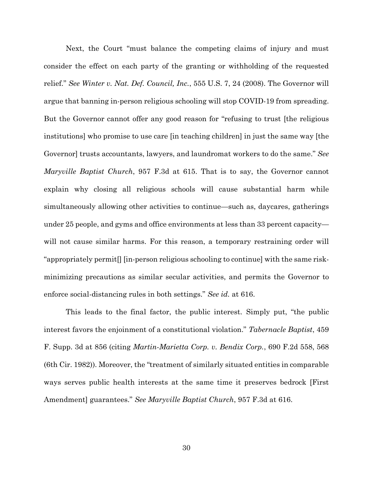Next, the Court "must balance the competing claims of injury and must consider the effect on each party of the granting or withholding of the requested relief." *See Winter v. Nat. Def. Council, Inc.*, 555 U.S. 7, 24 (2008). The Governor will argue that banning in-person religious schooling will stop COVID-19 from spreading. But the Governor cannot offer any good reason for "refusing to trust [the religious institutions] who promise to use care [in teaching children] in just the same way [the Governor] trusts accountants, lawyers, and laundromat workers to do the same." *See Maryville Baptist Church*, 957 F.3d at 615. That is to say, the Governor cannot explain why closing all religious schools will cause substantial harm while simultaneously allowing other activities to continue—such as, daycares, gatherings under 25 people, and gyms and office environments at less than 33 percent capacity will not cause similar harms. For this reason, a temporary restraining order will "appropriately permit[] [in-person religious schooling to continue] with the same riskminimizing precautions as similar secular activities, and permits the Governor to enforce social-distancing rules in both settings." *See id.* at 616.

This leads to the final factor, the public interest. Simply put, "the public interest favors the enjoinment of a constitutional violation." *Tabernacle Baptist*, 459 F. Supp. 3d at 856 (citing *Martin-Marietta Corp. v. Bendix Corp.*, 690 F.2d 558, 568 (6th Cir. 1982)). Moreover, the "treatment of similarly situated entities in comparable ways serves public health interests at the same time it preserves bedrock [First Amendment] guarantees." *See Maryville Baptist Church*, 957 F.3d at 616.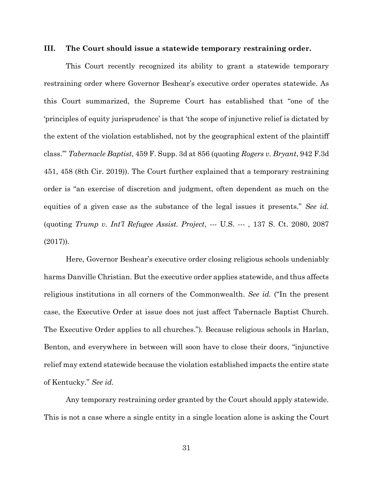### **III. The Court should issue a statewide temporary restraining order.**

This Court recently recognized its ability to grant a statewide temporary restraining order where Governor Beshear's executive order operates statewide. As this Court summarized, the Supreme Court has established that "one of the 'principles of equity jurisprudence' is that 'the scope of injunctive relief is dictated by the extent of the violation established, not by the geographical extent of the plaintiff class.'" *Tabernacle Baptist*, 459 F. Supp. 3d at 856 (quoting *Rogers v. Bryant*, 942 F.3d 451, 458 (8th Cir. 2019)). The Court further explained that a temporary restraining order is "an exercise of discretion and judgment, often dependent as much on the equities of a given case as the substance of the legal issues it presents." *See id.* (quoting *Trump v. Int'l Refugee Assist. Project*, --- U.S. --- , 137 S. Ct. 2080, 2087 (2017)).

Here, Governor Beshear's executive order closing religious schools undeniably harms Danville Christian. But the executive order applies statewide, and thus affects religious institutions in all corners of the Commonwealth. *See id.* ("In the present case, the Executive Order at issue does not just affect Tabernacle Baptist Church. The Executive Order applies to all churches."). Because religious schools in Harlan, Benton, and everywhere in between will soon have to close their doors, "injunctive relief may extend statewide because the violation established impacts the entire state of Kentucky." *See id.*

Any temporary restraining order granted by the Court should apply statewide. This is not a case where a single entity in a single location alone is asking the Court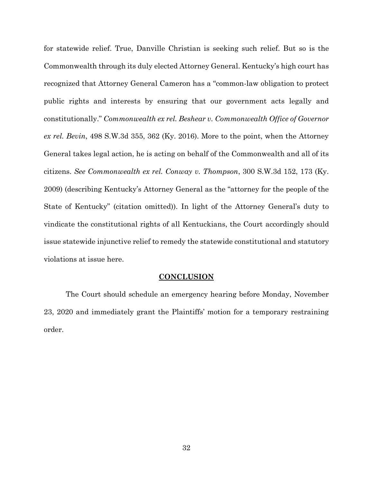for statewide relief. True, Danville Christian is seeking such relief. But so is the Commonwealth through its duly elected Attorney General. Kentucky's high court has recognized that Attorney General Cameron has a "common-law obligation to protect public rights and interests by ensuring that our government acts legally and constitutionally." *Commonwealth ex rel. Beshear v. Commonwealth Office of Governor ex rel. Bevin*, 498 S.W.3d 355, 362 (Ky. 2016). More to the point, when the Attorney General takes legal action, he is acting on behalf of the Commonwealth and all of its citizens. *See Commonwealth ex rel. Conway v. Thompson*, 300 S.W.3d 152, 173 (Ky. 2009) (describing Kentucky's Attorney General as the "attorney for the people of the State of Kentucky" (citation omitted)). In light of the Attorney General's duty to vindicate the constitutional rights of all Kentuckians, the Court accordingly should issue statewide injunctive relief to remedy the statewide constitutional and statutory violations at issue here.

#### **CONCLUSION**

The Court should schedule an emergency hearing before Monday, November 23, 2020 and immediately grant the Plaintiffs' motion for a temporary restraining order.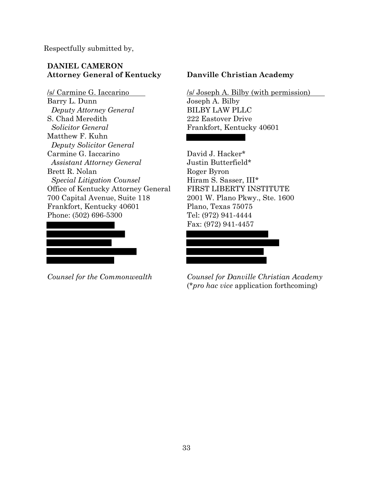Respectfully submitted by,

# **DANIEL CAMERON Attorney General of Kentucky**

/s/ Carmine G. Iaccarino Barry L. Dunn *Deputy Attorney General* S. Chad Meredith *Solicitor General* Matthew F. Kuhn *Deputy Solicitor General* Carmine G. Iaccarino *Assistant Attorney General* Brett R. Nolan *Special Litigation Counsel* Office of Kentucky Attorney General 700 Capital Avenue, Suite 118 Frankfort, Kentucky 40601 Phone: (502) 696-5300



*Counsel for the Commonwealth*

# **Danville Christian Academy**

/s/ Joseph A. Bilby (with permission) Joseph A. Bilby BILBY LAW PLLC 222 Eastover Drive Frankfort, Kentucky 40601

David J. Hacker\* Justin Butterfield\* Roger Byron Hiram S. Sasser, III\* FIRST LIBERTY INSTITUTE 2001 W. Plano Pkwy., Ste. 1600 Plano, Texas 75075 Tel: (972) 941-4444 Fax: (972) 941-4457

*Counsel for Danville Christian Academy* (\**pro hac vice* application forthcoming)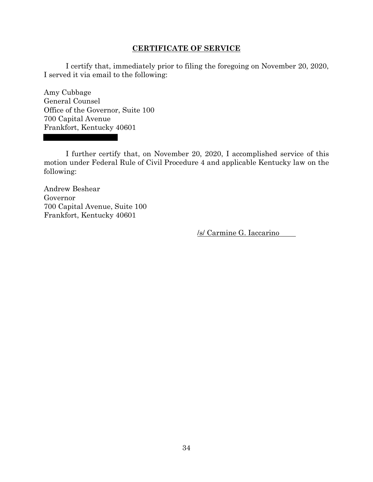### **CERTIFICATE OF SERVICE**

I certify that, immediately prior to filing the foregoing on November 20, 2020, I served it via email to the following:

Amy Cubbage General Counsel Office of the Governor, Suite 100 700 Capital Avenue Frankfort, Kentucky 40601

I further certify that, on November 20, 2020, I accomplished service of this motion under Federal Rule of Civil Procedure 4 and applicable Kentucky law on the following:

Andrew Beshear Governor 700 Capital Avenue, Suite 100 Frankfort, Kentucky 40601

/s/ Carmine G. Iaccarino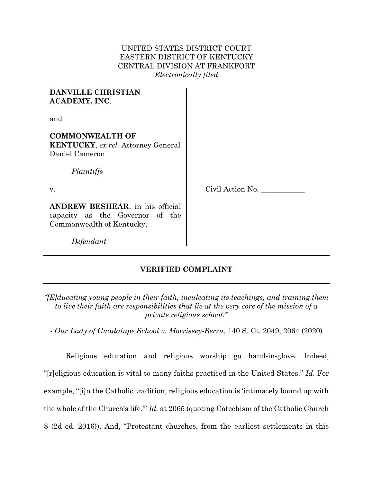# UNITED STATES DISTRICT COURT EASTERN DISTRICT OF KENTUCKY CENTRAL DIVISION AT FRANKFORT *Electronically filed*

| <b>DANVILLE CHRISTIAN</b><br><b>ACADEMY, INC.</b>                                                    |                  |
|------------------------------------------------------------------------------------------------------|------------------|
| and                                                                                                  |                  |
| <b>COMMONWEALTH OF</b><br><b>KENTUCKY</b> , ex rel. Attorney General<br>Daniel Cameron<br>Plaintiffs |                  |
| V.                                                                                                   | Civil Action No. |
| ANDREW BESHEAR, in his official<br>capacity as the Governor of the<br>Commonwealth of Kentucky,      |                  |
| Defendant                                                                                            |                  |

# **VERIFIED COMPLAINT**

*"[E]ducating young people in their faith, inculcating its teachings, and training them to live their faith are responsibilities that lie at the very core of the mission of a private religious school."*

*- Our Lady of Guadalupe School v. Morrissey-Berru*, 140 S. Ct. 2049, 2064 (2020)

Religious education and religious worship go hand-in-glove. Indeed, "[r]eligious education is vital to many faiths practiced in the United States." *Id.* For example, "[i]n the Catholic tradition, religious education is 'intimately bound up with the whole of the Church's life.'" *Id.* at 2065 (quoting Catechism of the Catholic Church 8 (2d ed. 2016)). And, "Protestant churches, from the earliest settlements in this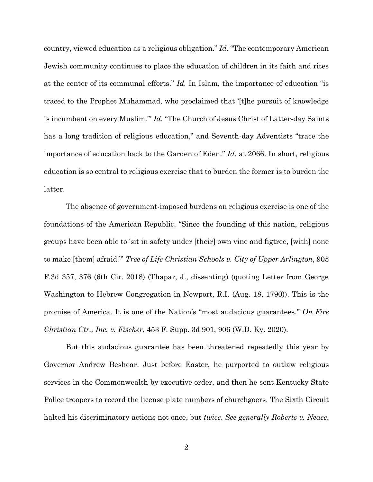country, viewed education as a religious obligation." *Id.* "The contemporary American Jewish community continues to place the education of children in its faith and rites at the center of its communal efforts." *Id.* In Islam, the importance of education "is traced to the Prophet Muhammad, who proclaimed that '[t]he pursuit of knowledge is incumbent on every Muslim.'" *Id.* "The Church of Jesus Christ of Latter-day Saints has a long tradition of religious education," and Seventh-day Adventists "trace the importance of education back to the Garden of Eden." *Id.* at 2066. In short, religious education is so central to religious exercise that to burden the former is to burden the latter.

The absence of government-imposed burdens on religious exercise is one of the foundations of the American Republic. "Since the founding of this nation, religious groups have been able to 'sit in safety under [their] own vine and figtree, [with] none to make [them] afraid.'" *Tree of Life Christian Schools v. City of Upper Arlington*, 905 F.3d 357, 376 (6th Cir. 2018) (Thapar, J., dissenting) (quoting Letter from George Washington to Hebrew Congregation in Newport, R.I. (Aug. 18, 1790)). This is the promise of America. It is one of the Nation's "most audacious guarantees." *On Fire Christian Ctr., Inc. v. Fischer*, 453 F. Supp. 3d 901, 906 (W.D. Ky. 2020).

But this audacious guarantee has been threatened repeatedly this year by Governor Andrew Beshear. Just before Easter, he purported to outlaw religious services in the Commonwealth by executive order, and then he sent Kentucky State Police troopers to record the license plate numbers of churchgoers. The Sixth Circuit halted his discriminatory actions not once, but *twice*. *See generally Roberts v. Neace*,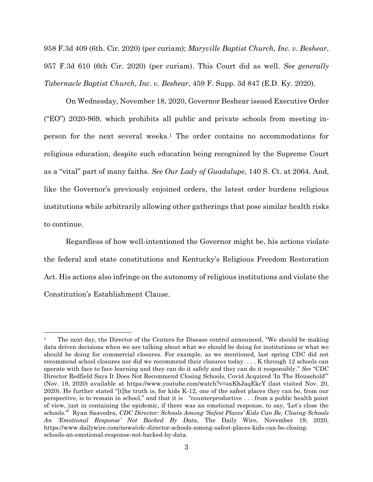958 F.3d 409 (6th. Cir. 2020) (per curiam); *Maryville Baptist Church, Inc. v. Beshear*, 957 F.3d 610 (6th Cir. 2020) (per curiam). This Court did as well. *See generally Tabernacle Baptist Church, Inc. v. Beshear*, 459 F. Supp. 3d 847 (E.D. Ky. 2020).

On Wednesday, November 18, 2020, Governor Beshear issued Executive Order ("EO") 2020-969, which prohibits all public and private schools from meeting inperson for the next several weeks. <sup>1</sup> The order contains no accommodations for religious education, despite such education being recognized by the Supreme Court as a "vital" part of many faiths. *See Our Lady of Guadalupe*, 140 S. Ct. at 2064. And, like the Governor's previously enjoined orders, the latest order burdens religious institutions while arbitrarily allowing other gatherings that pose similar health risks to continue.

Regardless of how well-intentioned the Governor might be, his actions violate the federal and state constitutions and Kentucky's Religious Freedom Restoration Act. His actions also infringe on the autonomy of religious institutions and violate the Constitution's Establishment Clause.

l

<sup>1</sup> The next day, the Director of the Centers for Disease control announced, "We should be making data driven decisions when we are talking about what we should be doing for institutions or what we should be doing for commercial closures. For example, as we mentioned, last spring CDC did not recommend school closures nor did we recommend their closures today. . . . K through 12 schools can operate with face to face learning and they can do it safely and they can do it responsibly." *See* "CDC Director Redfield Says It Does Not Recommend Closing Schools, Covid Acquired 'In The Household'" (Nov. 19, 2020) available at https://www.youtube.com/watch?v=sxKhJaqEkcY (last visited Nov. 20, 2020). He further stated "[t]he truth is, for kids K-12, one of the safest places they can be, from our perspective, is to remain in school," and that it is "counterproductive . . . from a public health point of view, just in containing the epidemic, if there was an emotional response, to say, 'Let's close the schools.'" Ryan Saavedra, *CDC Director: Schools Among 'Safest Places' Kids Can Be, Closing Schools An 'Emotional Response' Not Backed By Data*, The Daily Wire, November 19, 2020, https://www.dailywire.com/news/cdc-director-schools-among-safest-places-kids-can-be-closingschools-an-emotional-response-not-backed-by-data.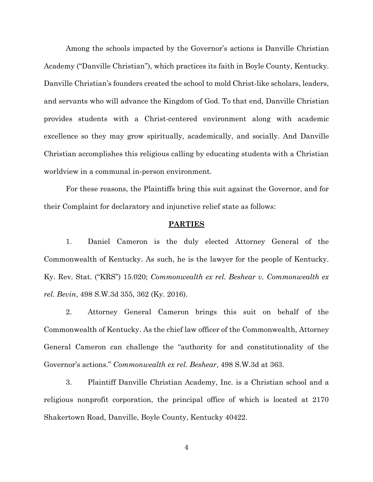Among the schools impacted by the Governor's actions is Danville Christian Academy ("Danville Christian"), which practices its faith in Boyle County, Kentucky. Danville Christian's founders created the school to mold Christ-like scholars, leaders, and servants who will advance the Kingdom of God. To that end, Danville Christian provides students with a Christ-centered environment along with academic excellence so they may grow spiritually, academically, and socially. And Danville Christian accomplishes this religious calling by educating students with a Christian worldview in a communal in-person environment.

For these reasons, the Plaintiffs bring this suit against the Governor, and for their Complaint for declaratory and injunctive relief state as follows:

## **PARTIES**

1. Daniel Cameron is the duly elected Attorney General of the Commonwealth of Kentucky. As such, he is the lawyer for the people of Kentucky. Ky. Rev. Stat. ("KRS") 15.020; *Commonwealth ex rel. Beshear v. Commonwealth ex rel. Bevin*, 498 S.W.3d 355, 362 (Ky. 2016).

2. Attorney General Cameron brings this suit on behalf of the Commonwealth of Kentucky. As the chief law officer of the Commonwealth, Attorney General Cameron can challenge the "authority for and constitutionality of the Governor's actions." *Commonwealth ex rel. Beshear*, 498 S.W.3d at 363.

3. Plaintiff Danville Christian Academy, Inc. is a Christian school and a religious nonprofit corporation, the principal office of which is located at 2170 Shakertown Road, Danville, Boyle County, Kentucky 40422.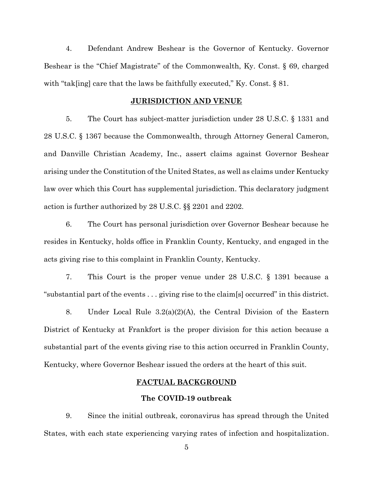4. Defendant Andrew Beshear is the Governor of Kentucky. Governor Beshear is the "Chief Magistrate" of the Commonwealth, Ky. Const. § 69, charged with "tak[ing] care that the laws be faithfully executed," Ky. Const.  $\S 81$ .

### **JURISDICTION AND VENUE**

5. The Court has subject-matter jurisdiction under 28 U.S.C. § 1331 and 28 U.S.C. § 1367 because the Commonwealth, through Attorney General Cameron, and Danville Christian Academy, Inc., assert claims against Governor Beshear arising under the Constitution of the United States, as well as claims under Kentucky law over which this Court has supplemental jurisdiction. This declaratory judgment action is further authorized by 28 U.S.C. §§ 2201 and 2202.

6. The Court has personal jurisdiction over Governor Beshear because he resides in Kentucky, holds office in Franklin County, Kentucky, and engaged in the acts giving rise to this complaint in Franklin County, Kentucky.

7. This Court is the proper venue under 28 U.S.C. § 1391 because a "substantial part of the events . . . giving rise to the claim[s] occurred" in this district.

8. Under Local Rule 3.2(a)(2)(A), the Central Division of the Eastern District of Kentucky at Frankfort is the proper division for this action because a substantial part of the events giving rise to this action occurred in Franklin County, Kentucky, where Governor Beshear issued the orders at the heart of this suit.

#### **FACTUAL BACKGROUND**

### **The COVID-19 outbreak**

9. Since the initial outbreak, coronavirus has spread through the United States, with each state experiencing varying rates of infection and hospitalization.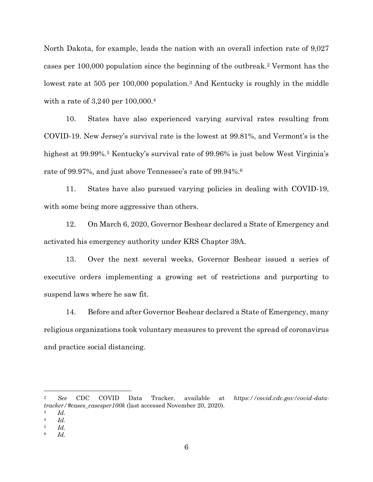North Dakota, for example, leads the nation with an overall infection rate of 9,027 cases per 100,000 population since the beginning of the outbreak.<sup>2</sup> Vermont has the lowest rate at 505 per 100,000 population.<sup>3</sup> And Kentucky is roughly in the middle with a rate of 3,240 per 100,000.<sup>4</sup>

10. States have also experienced varying survival rates resulting from COVID-19. New Jersey's survival rate is the lowest at 99.81%, and Vermont's is the highest at 99.99%.<sup>5</sup> Kentucky's survival rate of 99.96% is just below West Virginia's rate of 99.97%, and just above Tennessee's rate of 99.94%.<sup>6</sup>

11. States have also pursued varying policies in dealing with COVID-19, with some being more aggressive than others.

12. On March 6, 2020, Governor Beshear declared a State of Emergency and activated his emergency authority under KRS Chapter 39A.

13. Over the next several weeks, Governor Beshear issued a series of executive orders implementing a growing set of restrictions and purporting to suspend laws where he saw fit.

14. Before and after Governor Beshear declared a State of Emergency, many religious organizations took voluntary measures to prevent the spread of coronavirus and practice social distancing.

l

<sup>2</sup> *See* CDC COVID Data Tracker, available at *https://covid.cdc.gov/covid-datatracker/#cases\_casesper100k* (last accessed November 20, 2020).

<sup>3</sup> *Id.*

<sup>4</sup> *Id.*

<sup>5</sup> *Id.*

<sup>6</sup> *Id.*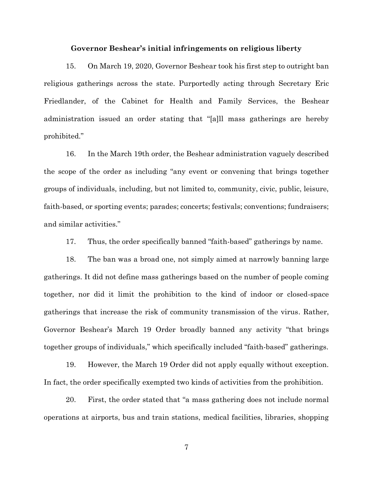### **Governor Beshear's initial infringements on religious liberty**

15. On March 19, 2020, Governor Beshear took his first step to outright ban religious gatherings across the state. Purportedly acting through Secretary Eric Friedlander, of the Cabinet for Health and Family Services, the Beshear administration issued an order stating that "[a]ll mass gatherings are hereby prohibited."

16. In the March 19th order, the Beshear administration vaguely described the scope of the order as including "any event or convening that brings together groups of individuals, including, but not limited to, community, civic, public, leisure, faith-based, or sporting events; parades; concerts; festivals; conventions; fundraisers; and similar activities."

17. Thus, the order specifically banned "faith-based" gatherings by name.

18. The ban was a broad one, not simply aimed at narrowly banning large gatherings. It did not define mass gatherings based on the number of people coming together, nor did it limit the prohibition to the kind of indoor or closed-space gatherings that increase the risk of community transmission of the virus. Rather, Governor Beshear's March 19 Order broadly banned any activity "that brings together groups of individuals," which specifically included "faith-based" gatherings.

19. However, the March 19 Order did not apply equally without exception. In fact, the order specifically exempted two kinds of activities from the prohibition.

20. First, the order stated that "a mass gathering does not include normal operations at airports, bus and train stations, medical facilities, libraries, shopping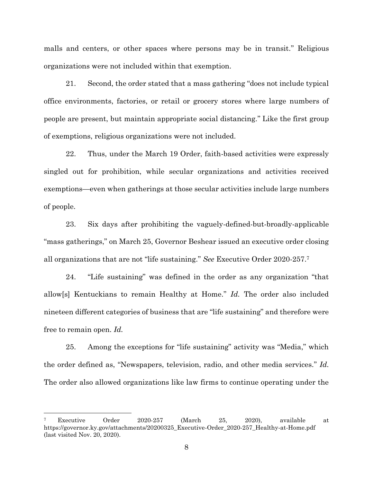malls and centers, or other spaces where persons may be in transit." Religious organizations were not included within that exemption.

21. Second, the order stated that a mass gathering "does not include typical office environments, factories, or retail or grocery stores where large numbers of people are present, but maintain appropriate social distancing." Like the first group of exemptions, religious organizations were not included.

22. Thus, under the March 19 Order, faith-based activities were expressly singled out for prohibition, while secular organizations and activities received exemptions—even when gatherings at those secular activities include large numbers of people.

23. Six days after prohibiting the vaguely-defined-but-broadly-applicable "mass gatherings," on March 25, Governor Beshear issued an executive order closing all organizations that are not "life sustaining." *See* Executive Order 2020-257.<sup>7</sup>

24. "Life sustaining" was defined in the order as any organization "that allow[s] Kentuckians to remain Healthy at Home." *Id.* The order also included nineteen different categories of business that are "life sustaining" and therefore were free to remain open. *Id.*

25. Among the exceptions for "life sustaining" activity was "Media," which the order defined as, "Newspapers, television, radio, and other media services." *Id.*  The order also allowed organizations like law firms to continue operating under the

 $\overline{a}$ 

<sup>7</sup> Executive Order 2020-257 (March 25, 2020), available at https://governor.ky.gov/attachments/20200325\_Executive-Order\_2020-257\_Healthy-at-Home.pdf (last visited Nov. 20, 2020).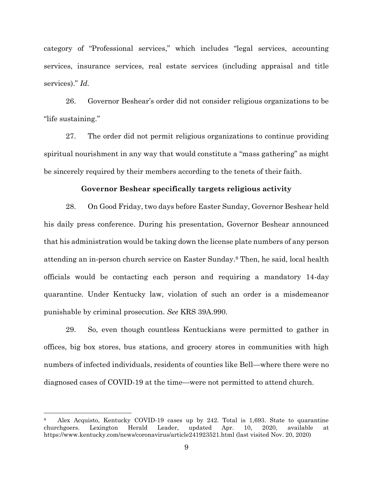category of "Professional services," which includes "legal services, accounting services, insurance services, real estate services (including appraisal and title services)." *Id.*

26. Governor Beshear's order did not consider religious organizations to be "life sustaining."

27. The order did not permit religious organizations to continue providing spiritual nourishment in any way that would constitute a "mass gathering" as might be sincerely required by their members according to the tenets of their faith.

## **Governor Beshear specifically targets religious activity**

28. On Good Friday, two days before Easter Sunday, Governor Beshear held his daily press conference. During his presentation, Governor Beshear announced that his administration would be taking down the license plate numbers of any person attending an in-person church service on Easter Sunday.<sup>8</sup> Then, he said, local health officials would be contacting each person and requiring a mandatory 14-day quarantine. Under Kentucky law, violation of such an order is a misdemeanor punishable by criminal prosecution. *See* KRS 39A.990.

29. So, even though countless Kentuckians were permitted to gather in offices, big box stores, bus stations, and grocery stores in communities with high numbers of infected individuals, residents of counties like Bell—where there were no diagnosed cases of COVID-19 at the time—were not permitted to attend church.

 $\overline{a}$ 

<sup>8</sup> Alex Acquisto, Kentucky COVID-19 cases up by 242. Total is 1,693. State to quarantine churchgoers. Lexington Herald Leader, updated Apr. 10, 2020, available at https://www.kentucky.com/news/coronavirus/article241923521.html (last visited Nov. 20, 2020)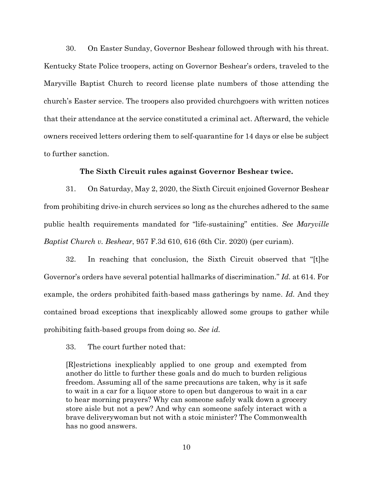30. On Easter Sunday, Governor Beshear followed through with his threat. Kentucky State Police troopers, acting on Governor Beshear's orders, traveled to the Maryville Baptist Church to record license plate numbers of those attending the church's Easter service. The troopers also provided churchgoers with written notices that their attendance at the service constituted a criminal act. Afterward, the vehicle owners received letters ordering them to self-quarantine for 14 days or else be subject to further sanction.

## **The Sixth Circuit rules against Governor Beshear twice.**

31. On Saturday, May 2, 2020, the Sixth Circuit enjoined Governor Beshear from prohibiting drive-in church services so long as the churches adhered to the same public health requirements mandated for "life-sustaining" entities. *See Maryville Baptist Church v. Beshear*, 957 F.3d 610, 616 (6th Cir. 2020) (per curiam).

32. In reaching that conclusion, the Sixth Circuit observed that "[t]he Governor's orders have several potential hallmarks of discrimination." *Id.* at 614. For example, the orders prohibited faith-based mass gatherings by name. *Id.* And they contained broad exceptions that inexplicably allowed some groups to gather while prohibiting faith-based groups from doing so. *See id.*

33. The court further noted that:

[R]estrictions inexplicably applied to one group and exempted from another do little to further these goals and do much to burden religious freedom. Assuming all of the same precautions are taken, why is it safe to wait in a car for a liquor store to open but dangerous to wait in a car to hear morning prayers? Why can someone safely walk down a grocery store aisle but not a pew? And why can someone safely interact with a brave deliverywoman but not with a stoic minister? The Commonwealth has no good answers.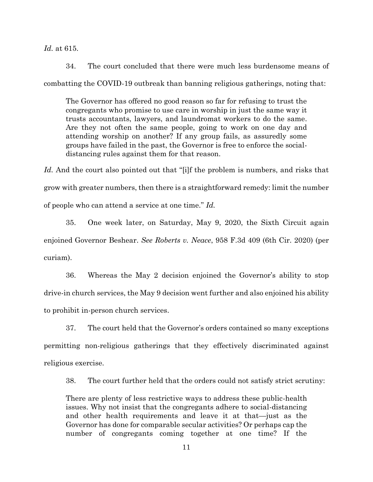*Id.* at 615.

34. The court concluded that there were much less burdensome means of combatting the COVID-19 outbreak than banning religious gatherings, noting that:

The Governor has offered no good reason so far for refusing to trust the congregants who promise to use care in worship in just the same way it trusts accountants, lawyers, and laundromat workers to do the same. Are they not often the same people, going to work on one day and attending worship on another? If any group fails, as assuredly some groups have failed in the past, the Governor is free to enforce the socialdistancing rules against them for that reason.

Id. And the court also pointed out that "[i]f the problem is numbers, and risks that grow with greater numbers, then there is a straightforward remedy: limit the number of people who can attend a service at one time." *Id.*

35. One week later, on Saturday, May 9, 2020, the Sixth Circuit again enjoined Governor Beshear. *See Roberts v. Neace*, 958 F.3d 409 (6th Cir. 2020) (per curiam).

36. Whereas the May 2 decision enjoined the Governor's ability to stop drive-in church services, the May 9 decision went further and also enjoined his ability to prohibit in-person church services.

37. The court held that the Governor's orders contained so many exceptions permitting non-religious gatherings that they effectively discriminated against religious exercise.

38. The court further held that the orders could not satisfy strict scrutiny:

There are plenty of less restrictive ways to address these public-health issues. Why not insist that the congregants adhere to social-distancing and other health requirements and leave it at that—just as the Governor has done for comparable secular activities? Or perhaps cap the number of congregants coming together at one time? If the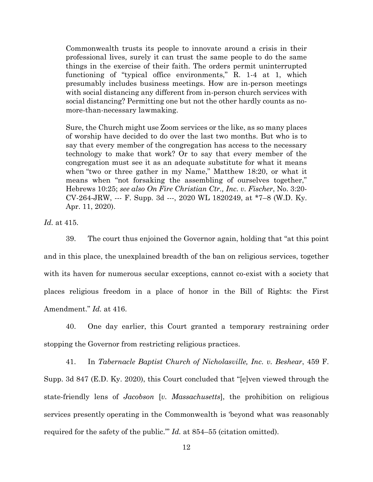Commonwealth trusts its people to innovate around a crisis in their professional lives, surely it can trust the same people to do the same things in the exercise of their faith. The orders permit uninterrupted functioning of "typical office environments," R. 1-4 at 1, which presumably includes business meetings. How are in-person meetings with social distancing any different from in-person church services with social distancing? Permitting one but not the other hardly counts as nomore-than-necessary lawmaking.

Sure, the Church might use Zoom services or the like, as so many places of worship have decided to do over the last two months. But who is to say that every member of the congregation has access to the necessary technology to make that work? Or to say that every member of the congregation must see it as an adequate substitute for what it means when "two or three gather in my Name," Matthew 18:20, or what it means when "not forsaking the assembling of ourselves together," Hebrews 10:25; *see also On Fire Christian Ctr., Inc. v. Fischer*, No. 3:20- CV-264-JRW, --- F. Supp. 3d ---, 2020 WL 1820249, at \*7–8 (W.D. Ky. Apr. 11, 2020).

*Id.* at 415.

39. The court thus enjoined the Governor again, holding that "at this point and in this place, the unexplained breadth of the ban on religious services, together with its haven for numerous secular exceptions, cannot co-exist with a society that places religious freedom in a place of honor in the Bill of Rights: the First Amendment." *Id.* at 416.

40. One day earlier, this Court granted a temporary restraining order stopping the Governor from restricting religious practices.

41. In *Tabernacle Baptist Church of Nicholasville, Inc. v. Beshear*, 459 F. Supp. 3d 847 (E.D. Ky. 2020), this Court concluded that "[e]ven viewed through the state-friendly lens of *Jacobson* [*v. Massachusetts*], the prohibition on religious services presently operating in the Commonwealth is 'beyond what was reasonably required for the safety of the public.'" *Id.* at 854–55 (citation omitted).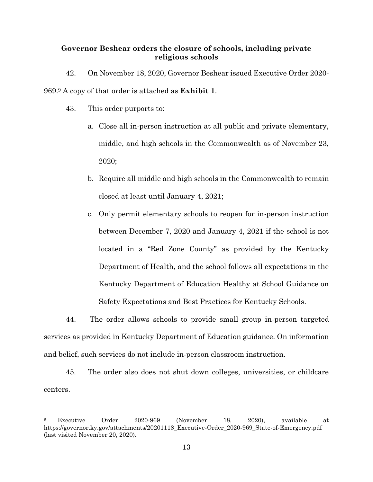## **Governor Beshear orders the closure of schools, including private religious schools**

42. On November 18, 2020, Governor Beshear issued Executive Order 2020-

969.<sup>9</sup> A copy of that order is attached as **Exhibit 1**.

43. This order purports to:

 $\overline{a}$ 

- a. Close all in-person instruction at all public and private elementary, middle, and high schools in the Commonwealth as of November 23, 2020;
- b. Require all middle and high schools in the Commonwealth to remain closed at least until January 4, 2021;
- c. Only permit elementary schools to reopen for in-person instruction between December 7, 2020 and January 4, 2021 if the school is not located in a "Red Zone County" as provided by the Kentucky Department of Health, and the school follows all expectations in the Kentucky Department of Education Healthy at School Guidance on Safety Expectations and Best Practices for Kentucky Schools.

44. The order allows schools to provide small group in-person targeted services as provided in Kentucky Department of Education guidance. On information and belief, such services do not include in-person classroom instruction.

45. The order also does not shut down colleges, universities, or childcare centers.

<sup>9</sup> Executive Order 2020-969 (November 18, 2020), available at https://governor.ky.gov/attachments/20201118\_Executive-Order\_2020-969\_State-of-Emergency.pdf (last visited November 20, 2020).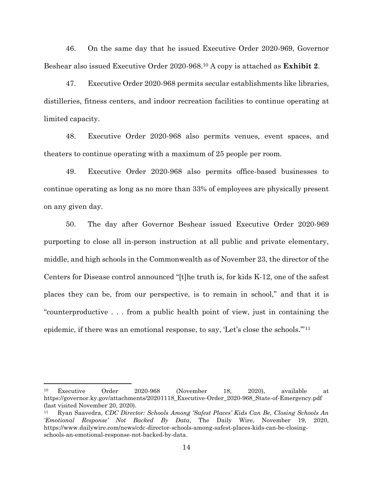46. On the same day that he issued Executive Order 2020-969, Governor Beshear also issued Executive Order 2020-968.<sup>10</sup> A copy is attached as **Exhibit 2**.

47. Executive Order 2020-968 permits secular establishments like libraries, distilleries, fitness centers, and indoor recreation facilities to continue operating at limited capacity.

48. Executive Order 2020-968 also permits venues, event spaces, and theaters to continue operating with a maximum of 25 people per room.

49. Executive Order 2020-968 also permits office-based businesses to continue operating as long as no more than 33% of employees are physically present on any given day.

50. The day after Governor Beshear issued Executive Order 2020-969 purporting to close all in-person instruction at all public and private elementary, middle, and high schools in the Commonwealth as of November 23, the director of the Centers for Disease control announced "[t]he truth is, for kids K-12, one of the safest places they can be, from our perspective, is to remain in school," and that it is "counterproductive . . . from a public health point of view, just in containing the epidemic, if there was an emotional response, to say, 'Let's close the schools.'"<sup>11</sup>

l

<sup>10</sup> Executive Order 2020-968 (November 18, 2020), available at https://governor.ky.gov/attachments/20201118\_Executive-Order\_2020-968\_State-of-Emergency.pdf (last visited November 20, 2020).

<sup>11</sup> Ryan Saavedra, *CDC Director: Schools Among 'Safest Places' Kids Can Be, Closing Schools An 'Emotional Response' Not Backed By Data*, The Daily Wire, November 19, 2020, https://www.dailywire.com/news/cdc-director-schools-among-safest-places-kids-can-be-closingschools-an-emotional-response-not-backed-by-data.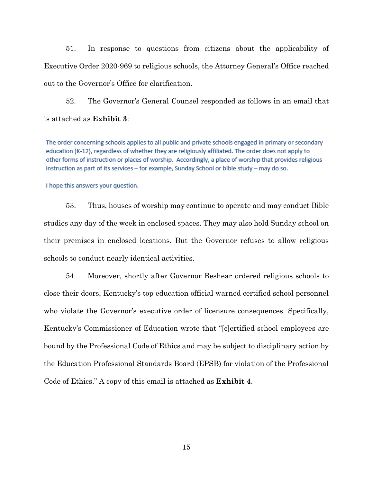51. In response to questions from citizens about the applicability of Executive Order 2020-969 to religious schools, the Attorney General's Office reached out to the Governor's Office for clarification.

52. The Governor's General Counsel responded as follows in an email that is attached as **Exhibit 3**:

The order concerning schools applies to all public and private schools engaged in primary or secondary education (K-12), regardless of whether they are religiously affiliated. The order does not apply to other forms of instruction or places of worship. Accordingly, a place of worship that provides religious instruction as part of its services - for example, Sunday School or bible study - may do so.

I hope this answers your question.

53. Thus, houses of worship may continue to operate and may conduct Bible studies any day of the week in enclosed spaces. They may also hold Sunday school on their premises in enclosed locations. But the Governor refuses to allow religious schools to conduct nearly identical activities.

54. Moreover, shortly after Governor Beshear ordered religious schools to close their doors, Kentucky's top education official warned certified school personnel who violate the Governor's executive order of licensure consequences. Specifically, Kentucky's Commissioner of Education wrote that "[c]ertified school employees are bound by the Professional Code of Ethics and may be subject to disciplinary action by the Education Professional Standards Board (EPSB) for violation of the Professional Code of Ethics." A copy of this email is attached as **Exhibit 4**.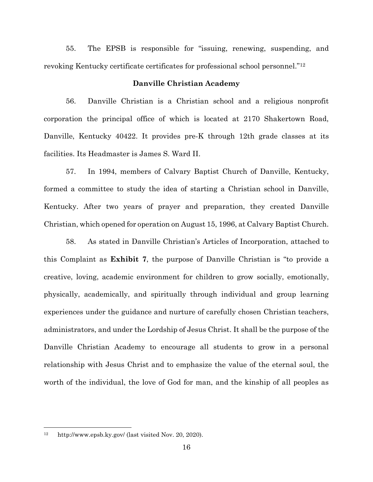55. The EPSB is responsible for "issuing, renewing, suspending, and revoking Kentucky certificate certificates for professional school personnel."<sup>12</sup>

### **Danville Christian Academy**

56. Danville Christian is a Christian school and a religious nonprofit corporation the principal office of which is located at 2170 Shakertown Road, Danville, Kentucky 40422. It provides pre-K through 12th grade classes at its facilities. Its Headmaster is James S. Ward II.

57. In 1994, members of Calvary Baptist Church of Danville, Kentucky, formed a committee to study the idea of starting a Christian school in Danville, Kentucky. After two years of prayer and preparation, they created Danville Christian, which opened for operation on August 15, 1996, at Calvary Baptist Church.

58. As stated in Danville Christian's Articles of Incorporation, attached to this Complaint as **Exhibit 7**, the purpose of Danville Christian is "to provide a creative, loving, academic environment for children to grow socially, emotionally, physically, academically, and spiritually through individual and group learning experiences under the guidance and nurture of carefully chosen Christian teachers, administrators, and under the Lordship of Jesus Christ. It shall be the purpose of the Danville Christian Academy to encourage all students to grow in a personal relationship with Jesus Christ and to emphasize the value of the eternal soul, the worth of the individual, the love of God for man, and the kinship of all peoples as

l

<sup>12</sup> http://www.epsb.ky.gov/ (last visited Nov. 20, 2020).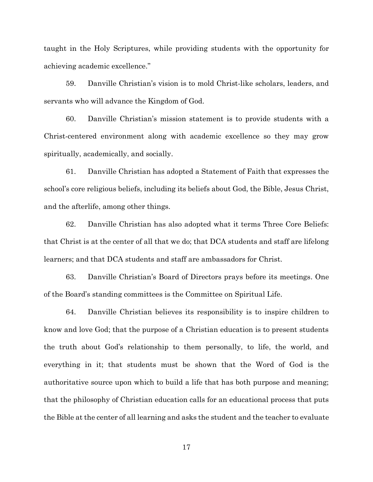taught in the Holy Scriptures, while providing students with the opportunity for achieving academic excellence."

59. Danville Christian's vision is to mold Christ-like scholars, leaders, and servants who will advance the Kingdom of God.

60. Danville Christian's mission statement is to provide students with a Christ-centered environment along with academic excellence so they may grow spiritually, academically, and socially.

61. Danville Christian has adopted a Statement of Faith that expresses the school's core religious beliefs, including its beliefs about God, the Bible, Jesus Christ, and the afterlife, among other things.

62. Danville Christian has also adopted what it terms Three Core Beliefs: that Christ is at the center of all that we do; that DCA students and staff are lifelong learners; and that DCA students and staff are ambassadors for Christ.

63. Danville Christian's Board of Directors prays before its meetings. One of the Board's standing committees is the Committee on Spiritual Life.

64. Danville Christian believes its responsibility is to inspire children to know and love God; that the purpose of a Christian education is to present students the truth about God's relationship to them personally, to life, the world, and everything in it; that students must be shown that the Word of God is the authoritative source upon which to build a life that has both purpose and meaning; that the philosophy of Christian education calls for an educational process that puts the Bible at the center of all learning and asks the student and the teacher to evaluate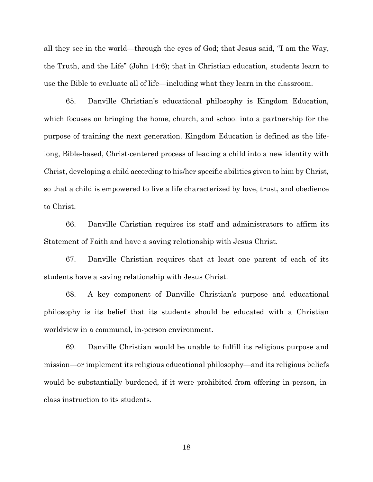all they see in the world—through the eyes of God; that Jesus said, "I am the Way, the Truth, and the Life" (John 14:6); that in Christian education, students learn to use the Bible to evaluate all of life—including what they learn in the classroom.

65. Danville Christian's educational philosophy is Kingdom Education, which focuses on bringing the home, church, and school into a partnership for the purpose of training the next generation. Kingdom Education is defined as the lifelong, Bible-based, Christ-centered process of leading a child into a new identity with Christ, developing a child according to his/her specific abilities given to him by Christ, so that a child is empowered to live a life characterized by love, trust, and obedience to Christ.

66. Danville Christian requires its staff and administrators to affirm its Statement of Faith and have a saving relationship with Jesus Christ.

67. Danville Christian requires that at least one parent of each of its students have a saving relationship with Jesus Christ.

68. A key component of Danville Christian's purpose and educational philosophy is its belief that its students should be educated with a Christian worldview in a communal, in-person environment.

69. Danville Christian would be unable to fulfill its religious purpose and mission—or implement its religious educational philosophy—and its religious beliefs would be substantially burdened, if it were prohibited from offering in-person, inclass instruction to its students.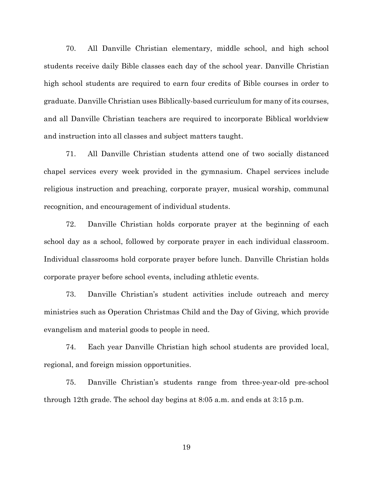70. All Danville Christian elementary, middle school, and high school students receive daily Bible classes each day of the school year. Danville Christian high school students are required to earn four credits of Bible courses in order to graduate. Danville Christian uses Biblically-based curriculum for many of its courses, and all Danville Christian teachers are required to incorporate Biblical worldview and instruction into all classes and subject matters taught.

71. All Danville Christian students attend one of two socially distanced chapel services every week provided in the gymnasium. Chapel services include religious instruction and preaching, corporate prayer, musical worship, communal recognition, and encouragement of individual students.

72. Danville Christian holds corporate prayer at the beginning of each school day as a school, followed by corporate prayer in each individual classroom. Individual classrooms hold corporate prayer before lunch. Danville Christian holds corporate prayer before school events, including athletic events.

73. Danville Christian's student activities include outreach and mercy ministries such as Operation Christmas Child and the Day of Giving, which provide evangelism and material goods to people in need.

74. Each year Danville Christian high school students are provided local, regional, and foreign mission opportunities.

75. Danville Christian's students range from three-year-old pre-school through 12th grade. The school day begins at 8:05 a.m. and ends at 3:15 p.m.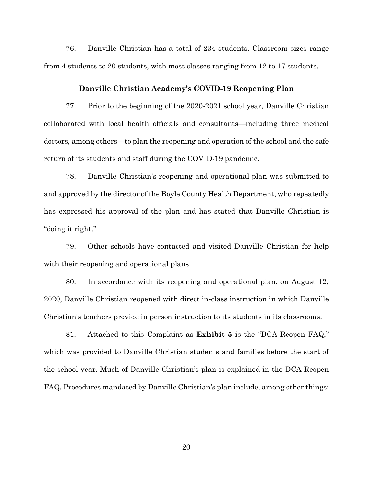76. Danville Christian has a total of 234 students. Classroom sizes range from 4 students to 20 students, with most classes ranging from 12 to 17 students.

#### **Danville Christian Academy's COVID-19 Reopening Plan**

77. Prior to the beginning of the 2020-2021 school year, Danville Christian collaborated with local health officials and consultants—including three medical doctors, among others—to plan the reopening and operation of the school and the safe return of its students and staff during the COVID-19 pandemic.

78. Danville Christian's reopening and operational plan was submitted to and approved by the director of the Boyle County Health Department, who repeatedly has expressed his approval of the plan and has stated that Danville Christian is "doing it right."

79. Other schools have contacted and visited Danville Christian for help with their reopening and operational plans.

80. In accordance with its reopening and operational plan, on August 12, 2020, Danville Christian reopened with direct in-class instruction in which Danville Christian's teachers provide in person instruction to its students in its classrooms.

81. Attached to this Complaint as **Exhibit 5** is the "DCA Reopen FAQ," which was provided to Danville Christian students and families before the start of the school year. Much of Danville Christian's plan is explained in the DCA Reopen FAQ. Procedures mandated by Danville Christian's plan include, among other things: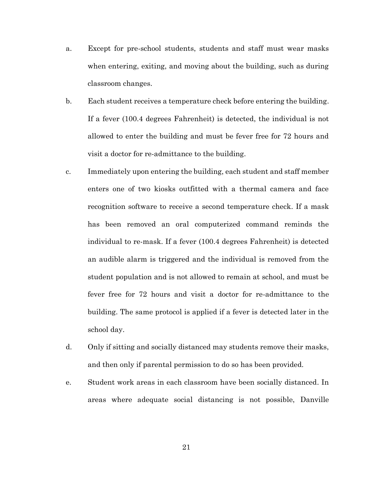- a. Except for pre-school students, students and staff must wear masks when entering, exiting, and moving about the building, such as during classroom changes.
- b. Each student receives a temperature check before entering the building. If a fever (100.4 degrees Fahrenheit) is detected, the individual is not allowed to enter the building and must be fever free for 72 hours and visit a doctor for re-admittance to the building.
- c. Immediately upon entering the building, each student and staff member enters one of two kiosks outfitted with a thermal camera and face recognition software to receive a second temperature check. If a mask has been removed an oral computerized command reminds the individual to re-mask. If a fever (100.4 degrees Fahrenheit) is detected an audible alarm is triggered and the individual is removed from the student population and is not allowed to remain at school, and must be fever free for 72 hours and visit a doctor for re-admittance to the building. The same protocol is applied if a fever is detected later in the school day.
- d. Only if sitting and socially distanced may students remove their masks, and then only if parental permission to do so has been provided.
- e. Student work areas in each classroom have been socially distanced. In areas where adequate social distancing is not possible, Danville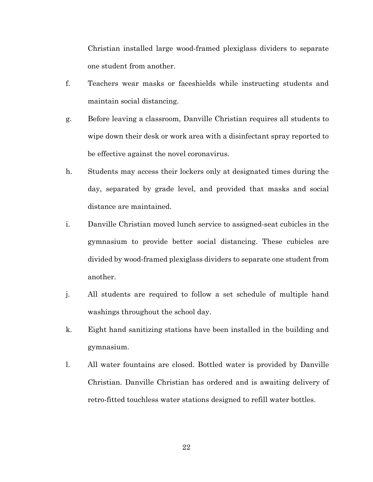Christian installed large wood-framed plexiglass dividers to separate one student from another.

- f. Teachers wear masks or faceshields while instructing students and maintain social distancing.
- g. Before leaving a classroom, Danville Christian requires all students to wipe down their desk or work area with a disinfectant spray reported to be effective against the novel coronavirus.
- h. Students may access their lockers only at designated times during the day, separated by grade level, and provided that masks and social distance are maintained.
- i. Danville Christian moved lunch service to assigned-seat cubicles in the gymnasium to provide better social distancing. These cubicles are divided by wood-framed plexiglass dividers to separate one student from another.
- j. All students are required to follow a set schedule of multiple hand washings throughout the school day.
- k. Eight hand sanitizing stations have been installed in the building and gymnasium.
- l. All water fountains are closed. Bottled water is provided by Danville Christian. Danville Christian has ordered and is awaiting delivery of retro-fitted touchless water stations designed to refill water bottles.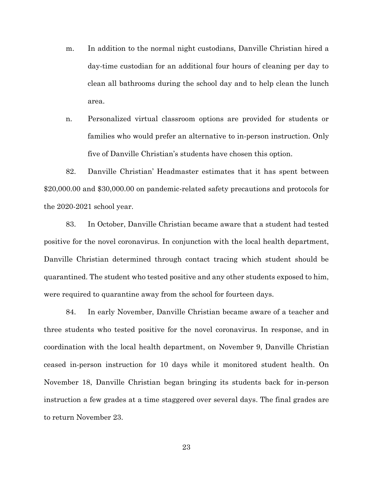- m. In addition to the normal night custodians, Danville Christian hired a day-time custodian for an additional four hours of cleaning per day to clean all bathrooms during the school day and to help clean the lunch area.
- n. Personalized virtual classroom options are provided for students or families who would prefer an alternative to in-person instruction. Only five of Danville Christian's students have chosen this option.

82. Danville Christian' Headmaster estimates that it has spent between \$20,000.00 and \$30,000.00 on pandemic-related safety precautions and protocols for the 2020-2021 school year.

83. In October, Danville Christian became aware that a student had tested positive for the novel coronavirus. In conjunction with the local health department, Danville Christian determined through contact tracing which student should be quarantined. The student who tested positive and any other students exposed to him, were required to quarantine away from the school for fourteen days.

84. In early November, Danville Christian became aware of a teacher and three students who tested positive for the novel coronavirus. In response, and in coordination with the local health department, on November 9, Danville Christian ceased in-person instruction for 10 days while it monitored student health. On November 18, Danville Christian began bringing its students back for in-person instruction a few grades at a time staggered over several days. The final grades are to return November 23.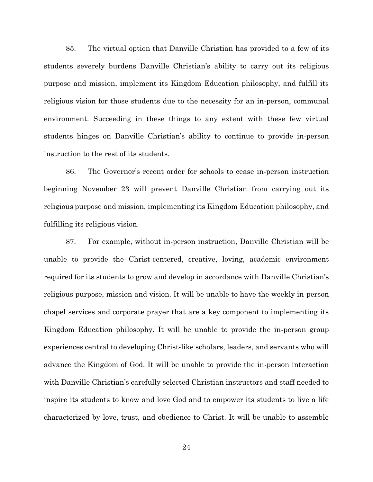85. The virtual option that Danville Christian has provided to a few of its students severely burdens Danville Christian's ability to carry out its religious purpose and mission, implement its Kingdom Education philosophy, and fulfill its religious vision for those students due to the necessity for an in-person, communal environment. Succeeding in these things to any extent with these few virtual students hinges on Danville Christian's ability to continue to provide in-person instruction to the rest of its students.

86. The Governor's recent order for schools to cease in-person instruction beginning November 23 will prevent Danville Christian from carrying out its religious purpose and mission, implementing its Kingdom Education philosophy, and fulfilling its religious vision.

87. For example, without in-person instruction, Danville Christian will be unable to provide the Christ-centered, creative, loving, academic environment required for its students to grow and develop in accordance with Danville Christian's religious purpose, mission and vision. It will be unable to have the weekly in-person chapel services and corporate prayer that are a key component to implementing its Kingdom Education philosophy. It will be unable to provide the in-person group experiences central to developing Christ-like scholars, leaders, and servants who will advance the Kingdom of God. It will be unable to provide the in-person interaction with Danville Christian's carefully selected Christian instructors and staff needed to inspire its students to know and love God and to empower its students to live a life characterized by love, trust, and obedience to Christ. It will be unable to assemble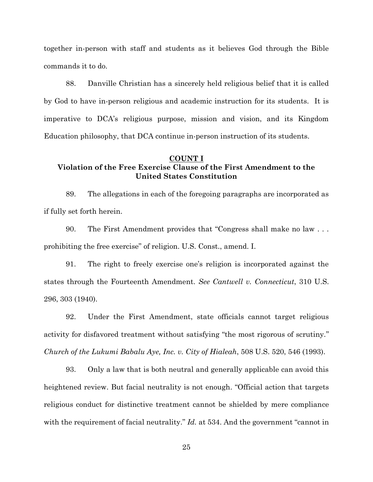together in-person with staff and students as it believes God through the Bible commands it to do.

88. Danville Christian has a sincerely held religious belief that it is called by God to have in-person religious and academic instruction for its students. It is imperative to DCA's religious purpose, mission and vision, and its Kingdom Education philosophy, that DCA continue in-person instruction of its students.

#### **COUNT I**

# **Violation of the Free Exercise Clause of the First Amendment to the United States Constitution**

89. The allegations in each of the foregoing paragraphs are incorporated as if fully set forth herein.

90. The First Amendment provides that "Congress shall make no law . . . prohibiting the free exercise" of religion. U.S. Const., amend. I.

91. The right to freely exercise one's religion is incorporated against the states through the Fourteenth Amendment. *See Cantwell v. Connecticut*, 310 U.S. 296, 303 (1940).

92. Under the First Amendment, state officials cannot target religious activity for disfavored treatment without satisfying "the most rigorous of scrutiny." *Church of the Lukumi Babalu Aye, Inc. v. City of Hialeah*, 508 U.S. 520, 546 (1993).

93. Only a law that is both neutral and generally applicable can avoid this heightened review. But facial neutrality is not enough. "Official action that targets religious conduct for distinctive treatment cannot be shielded by mere compliance with the requirement of facial neutrality." *Id.* at 534. And the government "cannot in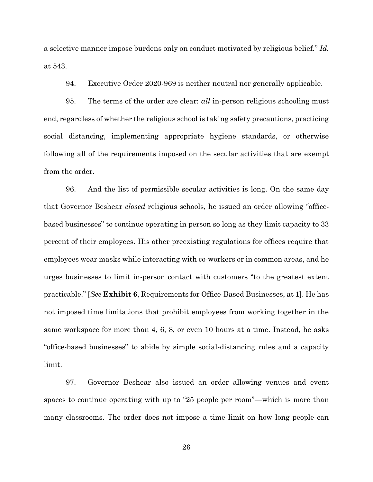a selective manner impose burdens only on conduct motivated by religious belief." *Id.* at 543.

94. Executive Order 2020-969 is neither neutral nor generally applicable.

95. The terms of the order are clear: *all* in-person religious schooling must end, regardless of whether the religious school is taking safety precautions, practicing social distancing, implementing appropriate hygiene standards, or otherwise following all of the requirements imposed on the secular activities that are exempt from the order.

96. And the list of permissible secular activities is long. On the same day that Governor Beshear *closed* religious schools, he issued an order allowing "officebased businesses" to continue operating in person so long as they limit capacity to 33 percent of their employees. His other preexisting regulations for offices require that employees wear masks while interacting with co-workers or in common areas, and he urges businesses to limit in-person contact with customers "to the greatest extent practicable." [*See* **Exhibit 6**, Requirements for Office-Based Businesses, at 1]. He has not imposed time limitations that prohibit employees from working together in the same workspace for more than 4, 6, 8, or even 10 hours at a time. Instead, he asks "office-based businesses" to abide by simple social-distancing rules and a capacity limit.

97. Governor Beshear also issued an order allowing venues and event spaces to continue operating with up to "25 people per room"—which is more than many classrooms. The order does not impose a time limit on how long people can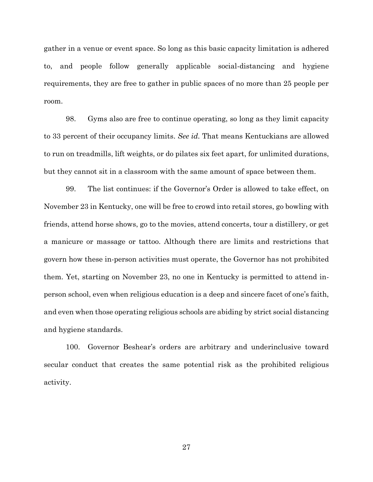gather in a venue or event space. So long as this basic capacity limitation is adhered to, and people follow generally applicable social-distancing and hygiene requirements, they are free to gather in public spaces of no more than 25 people per room.

98. Gyms also are free to continue operating, so long as they limit capacity to 33 percent of their occupancy limits. *See id.* That means Kentuckians are allowed to run on treadmills, lift weights, or do pilates six feet apart, for unlimited durations, but they cannot sit in a classroom with the same amount of space between them.

99. The list continues: if the Governor's Order is allowed to take effect, on November 23 in Kentucky, one will be free to crowd into retail stores, go bowling with friends, attend horse shows, go to the movies, attend concerts, tour a distillery, or get a manicure or massage or tattoo. Although there are limits and restrictions that govern how these in-person activities must operate, the Governor has not prohibited them. Yet, starting on November 23, no one in Kentucky is permitted to attend inperson school, even when religious education is a deep and sincere facet of one's faith, and even when those operating religious schools are abiding by strict social distancing and hygiene standards.

100. Governor Beshear's orders are arbitrary and underinclusive toward secular conduct that creates the same potential risk as the prohibited religious activity.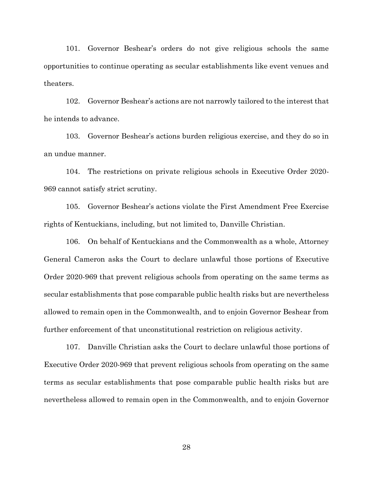101. Governor Beshear's orders do not give religious schools the same opportunities to continue operating as secular establishments like event venues and theaters.

102. Governor Beshear's actions are not narrowly tailored to the interest that he intends to advance.

103. Governor Beshear's actions burden religious exercise, and they do so in an undue manner.

104. The restrictions on private religious schools in Executive Order 2020- 969 cannot satisfy strict scrutiny.

105. Governor Beshear's actions violate the First Amendment Free Exercise rights of Kentuckians, including, but not limited to, Danville Christian.

106. On behalf of Kentuckians and the Commonwealth as a whole, Attorney General Cameron asks the Court to declare unlawful those portions of Executive Order 2020-969 that prevent religious schools from operating on the same terms as secular establishments that pose comparable public health risks but are nevertheless allowed to remain open in the Commonwealth, and to enjoin Governor Beshear from further enforcement of that unconstitutional restriction on religious activity.

107. Danville Christian asks the Court to declare unlawful those portions of Executive Order 2020-969 that prevent religious schools from operating on the same terms as secular establishments that pose comparable public health risks but are nevertheless allowed to remain open in the Commonwealth, and to enjoin Governor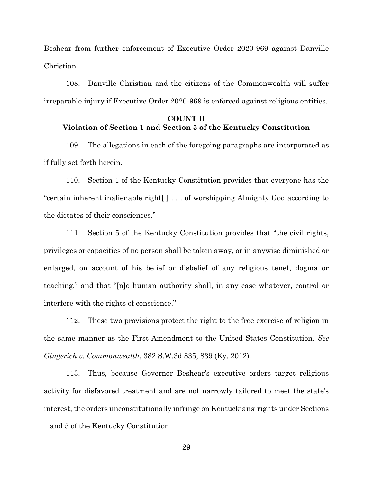Beshear from further enforcement of Executive Order 2020-969 against Danville Christian.

108. Danville Christian and the citizens of the Commonwealth will suffer irreparable injury if Executive Order 2020-969 is enforced against religious entities.

## **COUNT II Violation of Section 1 and Section 5 of the Kentucky Constitution**

109. The allegations in each of the foregoing paragraphs are incorporated as if fully set forth herein.

110. Section 1 of the Kentucky Constitution provides that everyone has the "certain inherent inalienable right[ ] . . . of worshipping Almighty God according to the dictates of their consciences."

111. Section 5 of the Kentucky Constitution provides that "the civil rights, privileges or capacities of no person shall be taken away, or in anywise diminished or enlarged, on account of his belief or disbelief of any religious tenet, dogma or teaching," and that "[n]o human authority shall, in any case whatever, control or interfere with the rights of conscience."

112. These two provisions protect the right to the free exercise of religion in the same manner as the First Amendment to the United States Constitution. *See Gingerich v. Commonwealth*, 382 S.W.3d 835, 839 (Ky. 2012).

113. Thus, because Governor Beshear's executive orders target religious activity for disfavored treatment and are not narrowly tailored to meet the state's interest, the orders unconstitutionally infringe on Kentuckians' rights under Sections 1 and 5 of the Kentucky Constitution.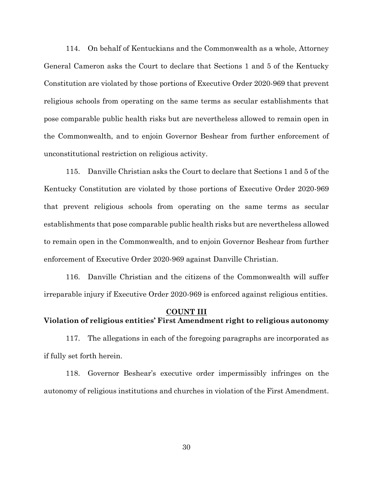114. On behalf of Kentuckians and the Commonwealth as a whole, Attorney General Cameron asks the Court to declare that Sections 1 and 5 of the Kentucky Constitution are violated by those portions of Executive Order 2020-969 that prevent religious schools from operating on the same terms as secular establishments that pose comparable public health risks but are nevertheless allowed to remain open in the Commonwealth, and to enjoin Governor Beshear from further enforcement of unconstitutional restriction on religious activity.

115. Danville Christian asks the Court to declare that Sections 1 and 5 of the Kentucky Constitution are violated by those portions of Executive Order 2020-969 that prevent religious schools from operating on the same terms as secular establishments that pose comparable public health risks but are nevertheless allowed to remain open in the Commonwealth, and to enjoin Governor Beshear from further enforcement of Executive Order 2020-969 against Danville Christian.

116. Danville Christian and the citizens of the Commonwealth will suffer irreparable injury if Executive Order 2020-969 is enforced against religious entities.

## **COUNT III Violation of religious entities' First Amendment right to religious autonomy**

117. The allegations in each of the foregoing paragraphs are incorporated as if fully set forth herein.

118. Governor Beshear's executive order impermissibly infringes on the autonomy of religious institutions and churches in violation of the First Amendment.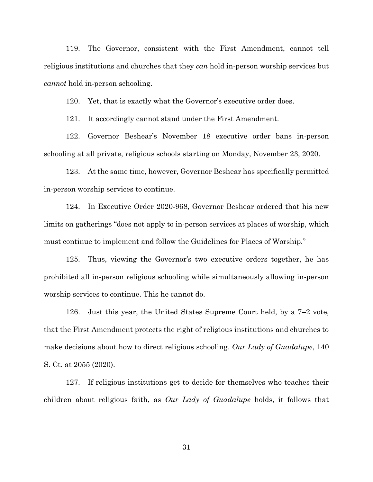119. The Governor, consistent with the First Amendment, cannot tell religious institutions and churches that they *can* hold in-person worship services but *cannot* hold in-person schooling.

120. Yet, that is exactly what the Governor's executive order does.

121. It accordingly cannot stand under the First Amendment.

122. Governor Beshear's November 18 executive order bans in-person schooling at all private, religious schools starting on Monday, November 23, 2020.

123. At the same time, however, Governor Beshear has specifically permitted in-person worship services to continue.

124. In Executive Order 2020-968, Governor Beshear ordered that his new limits on gatherings "does not apply to in-person services at places of worship, which must continue to implement and follow the Guidelines for Places of Worship."

125. Thus, viewing the Governor's two executive orders together, he has prohibited all in-person religious schooling while simultaneously allowing in-person worship services to continue. This he cannot do.

126. Just this year, the United States Supreme Court held, by a 7–2 vote, that the First Amendment protects the right of religious institutions and churches to make decisions about how to direct religious schooling. *Our Lady of Guadalupe*, 140 S. Ct. at 2055 (2020).

127. If religious institutions get to decide for themselves who teaches their children about religious faith, as *Our Lady of Guadalupe* holds, it follows that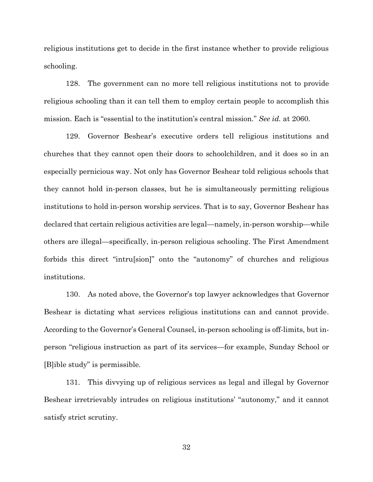religious institutions get to decide in the first instance whether to provide religious schooling.

128. The government can no more tell religious institutions not to provide religious schooling than it can tell them to employ certain people to accomplish this mission. Each is "essential to the institution's central mission." *See id.* at 2060.

129. Governor Beshear's executive orders tell religious institutions and churches that they cannot open their doors to schoolchildren, and it does so in an especially pernicious way. Not only has Governor Beshear told religious schools that they cannot hold in-person classes, but he is simultaneously permitting religious institutions to hold in-person worship services. That is to say, Governor Beshear has declared that certain religious activities are legal—namely, in-person worship—while others are illegal—specifically, in-person religious schooling. The First Amendment forbids this direct "intru[sion]" onto the "autonomy" of churches and religious institutions.

130. As noted above, the Governor's top lawyer acknowledges that Governor Beshear is dictating what services religious institutions can and cannot provide. According to the Governor's General Counsel, in-person schooling is off-limits, but inperson "religious instruction as part of its services—for example, Sunday School or [B]ible study" is permissible.

131. This divvying up of religious services as legal and illegal by Governor Beshear irretrievably intrudes on religious institutions' "autonomy," and it cannot satisfy strict scrutiny.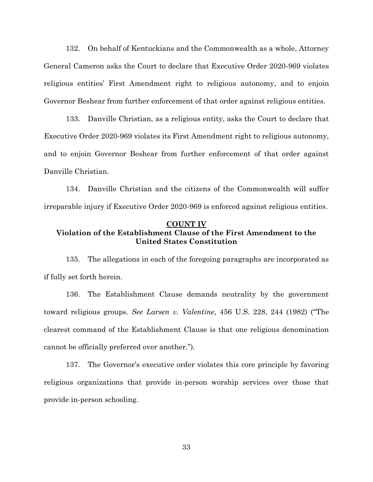132. On behalf of Kentuckians and the Commonwealth as a whole, Attorney General Cameron asks the Court to declare that Executive Order 2020-969 violates religious entities' First Amendment right to religious autonomy, and to enjoin Governor Beshear from further enforcement of that order against religious entities.

133. Danville Christian, as a religious entity, asks the Court to declare that Executive Order 2020-969 violates its First Amendment right to religious autonomy, and to enjoin Governor Beshear from further enforcement of that order against Danville Christian.

134. Danville Christian and the citizens of the Commonwealth will suffer irreparable injury if Executive Order 2020-969 is enforced against religious entities.

#### **COUNT IV**

# **Violation of the Establishment Clause of the First Amendment to the United States Constitution**

135. The allegations in each of the foregoing paragraphs are incorporated as if fully set forth herein.

136. The Establishment Clause demands neutrality by the government toward religious groups. *See Larsen v. Valentine*, 456 U.S. 228, 244 (1982) ("The clearest command of the Establishment Clause is that one religious denomination cannot be officially preferred over another.").

137. The Governor's executive order violates this core principle by favoring religious organizations that provide in-person worship services over those that provide in-person schooling.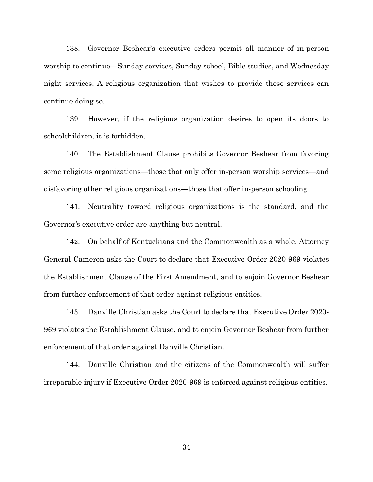138. Governor Beshear's executive orders permit all manner of in-person worship to continue—Sunday services, Sunday school, Bible studies, and Wednesday night services. A religious organization that wishes to provide these services can continue doing so.

139. However, if the religious organization desires to open its doors to schoolchildren, it is forbidden.

140. The Establishment Clause prohibits Governor Beshear from favoring some religious organizations—those that only offer in-person worship services—and disfavoring other religious organizations—those that offer in-person schooling.

141. Neutrality toward religious organizations is the standard, and the Governor's executive order are anything but neutral.

142. On behalf of Kentuckians and the Commonwealth as a whole, Attorney General Cameron asks the Court to declare that Executive Order 2020-969 violates the Establishment Clause of the First Amendment, and to enjoin Governor Beshear from further enforcement of that order against religious entities.

143. Danville Christian asks the Court to declare that Executive Order 2020- 969 violates the Establishment Clause, and to enjoin Governor Beshear from further enforcement of that order against Danville Christian.

144. Danville Christian and the citizens of the Commonwealth will suffer irreparable injury if Executive Order 2020-969 is enforced against religious entities.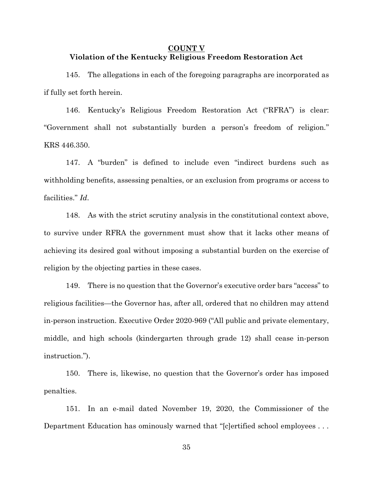## **COUNT V Violation of the Kentucky Religious Freedom Restoration Act**

145. The allegations in each of the foregoing paragraphs are incorporated as if fully set forth herein.

146. Kentucky's Religious Freedom Restoration Act ("RFRA") is clear: "Government shall not substantially burden a person's freedom of religion." KRS 446.350.

147. A "burden" is defined to include even "indirect burdens such as withholding benefits, assessing penalties, or an exclusion from programs or access to facilities." *Id*.

148. As with the strict scrutiny analysis in the constitutional context above, to survive under RFRA the government must show that it lacks other means of achieving its desired goal without imposing a substantial burden on the exercise of religion by the objecting parties in these cases.

149. There is no question that the Governor's executive order bars "access" to religious facilities—the Governor has, after all, ordered that no children may attend in-person instruction. Executive Order 2020-969 ("All public and private elementary, middle, and high schools (kindergarten through grade 12) shall cease in-person instruction.").

150. There is, likewise, no question that the Governor's order has imposed penalties.

151. In an e-mail dated November 19, 2020, the Commissioner of the Department Education has ominously warned that "[c]ertified school employees . . .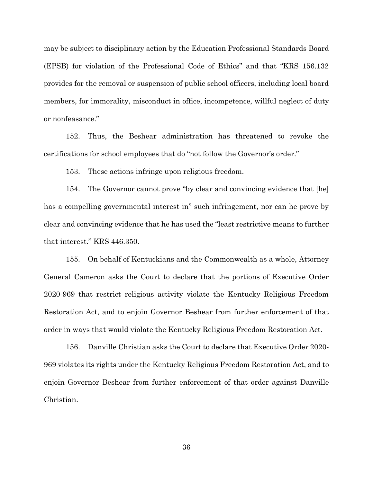may be subject to disciplinary action by the Education Professional Standards Board (EPSB) for violation of the Professional Code of Ethics" and that "KRS 156.132 provides for the removal or suspension of public school officers, including local board members, for immorality, misconduct in office, incompetence, willful neglect of duty or nonfeasance."

152. Thus, the Beshear administration has threatened to revoke the certifications for school employees that do "not follow the Governor's order."

153. These actions infringe upon religious freedom.

154. The Governor cannot prove "by clear and convincing evidence that [he] has a compelling governmental interest in" such infringement, nor can he prove by clear and convincing evidence that he has used the "least restrictive means to further that interest." KRS 446.350.

155. On behalf of Kentuckians and the Commonwealth as a whole, Attorney General Cameron asks the Court to declare that the portions of Executive Order 2020-969 that restrict religious activity violate the Kentucky Religious Freedom Restoration Act, and to enjoin Governor Beshear from further enforcement of that order in ways that would violate the Kentucky Religious Freedom Restoration Act.

156. Danville Christian asks the Court to declare that Executive Order 2020- 969 violates its rights under the Kentucky Religious Freedom Restoration Act, and to enjoin Governor Beshear from further enforcement of that order against Danville Christian.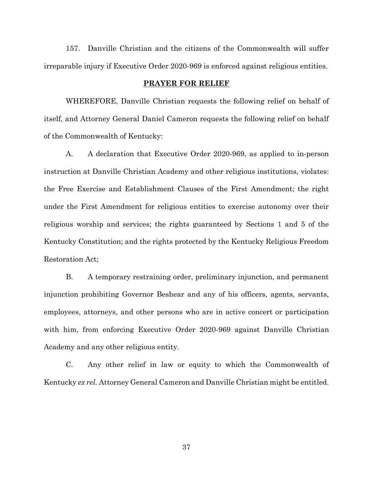157. Danville Christian and the citizens of the Commonwealth will suffer irreparable injury if Executive Order 2020-969 is enforced against religious entities.

#### **PRAYER FOR RELIEF**

WHEREFORE, Danville Christian requests the following relief on behalf of itself, and Attorney General Daniel Cameron requests the following relief on behalf of the Commonwealth of Kentucky:

A. A declaration that Executive Order 2020-969, as applied to in-person instruction at Danville Christian Academy and other religious institutions, violates: the Free Exercise and Establishment Clauses of the First Amendment; the right under the First Amendment for religious entities to exercise autonomy over their religious worship and services; the rights guaranteed by Sections 1 and 5 of the Kentucky Constitution; and the rights protected by the Kentucky Religious Freedom Restoration Act;

B. A temporary restraining order, preliminary injunction, and permanent injunction prohibiting Governor Beshear and any of his officers, agents, servants, employees, attorneys, and other persons who are in active concert or participation with him, from enforcing Executive Order 2020-969 against Danville Christian Academy and any other religious entity.

C. Any other relief in law or equity to which the Commonwealth of Kentucky *ex rel.* Attorney General Cameron and Danville Christian might be entitled.